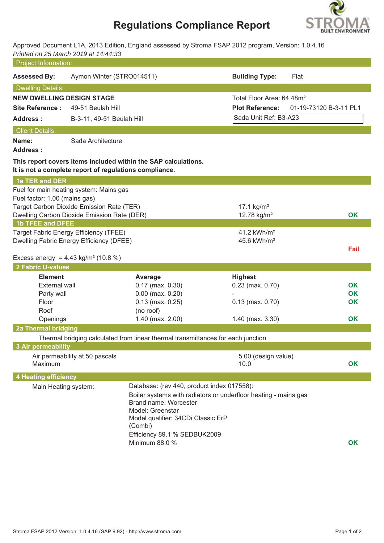## **Regulations Compliance Report**



Approved Document L1A, 2013 Edition, England assessed by Stroma FSAP 2012 program, Version: 1.0.4.16 *Printed on 25 March 2019 at 14:44:33*

| <b>Project Information:</b>                                          |                                                                                          |                                                                                  |                                                                 |                        |
|----------------------------------------------------------------------|------------------------------------------------------------------------------------------|----------------------------------------------------------------------------------|-----------------------------------------------------------------|------------------------|
| <b>Assessed By:</b>                                                  | Aymon Winter (STRO014511)                                                                |                                                                                  | <b>Building Type:</b>                                           | Flat                   |
| <b>Dwelling Details:</b>                                             |                                                                                          |                                                                                  |                                                                 |                        |
| <b>NEW DWELLING DESIGN STAGE</b>                                     |                                                                                          |                                                                                  | Total Floor Area: 64.48m <sup>2</sup>                           |                        |
| <b>Site Reference:</b><br>49-51 Beulah Hill                          |                                                                                          |                                                                                  | <b>Plot Reference:</b>                                          | 01-19-73120 B-3-11 PL1 |
| <b>Address:</b>                                                      | B-3-11, 49-51 Beulah Hill                                                                |                                                                                  | Sada Unit Ref: B3-A23                                           |                        |
| <b>Client Details:</b>                                               |                                                                                          |                                                                                  |                                                                 |                        |
| Name:<br><b>Address:</b>                                             | Sada Architecture                                                                        |                                                                                  |                                                                 |                        |
|                                                                      | It is not a complete report of regulations compliance.                                   | This report covers items included within the SAP calculations.                   |                                                                 |                        |
| 1a TER and DER                                                       |                                                                                          |                                                                                  |                                                                 |                        |
|                                                                      | Fuel for main heating system: Mains gas                                                  |                                                                                  |                                                                 |                        |
| Fuel factor: 1.00 (mains gas)                                        |                                                                                          |                                                                                  |                                                                 |                        |
|                                                                      | Target Carbon Dioxide Emission Rate (TER)<br>Dwelling Carbon Dioxide Emission Rate (DER) |                                                                                  | 17.1 $kg/m2$<br>12.78 kg/m <sup>2</sup>                         | OK                     |
| <b>1b TFEE and DFEE</b>                                              |                                                                                          |                                                                                  |                                                                 |                        |
|                                                                      | Target Fabric Energy Efficiency (TFEE)                                                   |                                                                                  | 41.2 kWh/m <sup>2</sup>                                         |                        |
|                                                                      | Dwelling Fabric Energy Efficiency (DFEE)                                                 |                                                                                  | 45.6 kWh/m <sup>2</sup>                                         |                        |
|                                                                      |                                                                                          |                                                                                  |                                                                 | Fail                   |
| Excess energy = $4.43 \text{ kg/m}^2 (10.8 \%)$<br>2 Fabric U-values |                                                                                          |                                                                                  |                                                                 |                        |
| <b>Element</b>                                                       |                                                                                          |                                                                                  | <b>Highest</b>                                                  |                        |
| <b>External wall</b>                                                 |                                                                                          | Average<br>$0.17$ (max. $0.30$ )                                                 | $0.23$ (max. $0.70$ )                                           | <b>OK</b>              |
| Party wall                                                           |                                                                                          | $0.00$ (max. $0.20$ )                                                            |                                                                 | <b>OK</b>              |
| Floor                                                                |                                                                                          | $0.13$ (max. $0.25$ )                                                            | $0.13$ (max. $0.70$ )                                           | OK                     |
| Roof                                                                 |                                                                                          | (no roof)                                                                        |                                                                 |                        |
| Openings                                                             |                                                                                          | 1.40 (max. 2.00)                                                                 | $1.40$ (max. $3.30$ )                                           | OK                     |
| 2a Thermal bridging                                                  |                                                                                          |                                                                                  |                                                                 |                        |
|                                                                      |                                                                                          | Thermal bridging calculated from linear thermal transmittances for each junction |                                                                 |                        |
| <b>3 Air permeability</b>                                            |                                                                                          |                                                                                  |                                                                 |                        |
| Maximum                                                              | Air permeability at 50 pascals                                                           |                                                                                  | 5.00 (design value)<br>10.0                                     | <b>OK</b>              |
| <b>4 Heating efficiency</b>                                          |                                                                                          |                                                                                  |                                                                 |                        |
| Main Heating system:                                                 |                                                                                          | Database: (rev 440, product index 017558):                                       |                                                                 |                        |
|                                                                      |                                                                                          |                                                                                  | Boiler systems with radiators or underfloor heating - mains gas |                        |
|                                                                      |                                                                                          | Brand name: Worcester<br>Model: Greenstar                                        |                                                                 |                        |
|                                                                      |                                                                                          | Model qualifier: 34CDi Classic ErP                                               |                                                                 |                        |
|                                                                      |                                                                                          | (Combi)                                                                          |                                                                 |                        |
|                                                                      |                                                                                          | Efficiency 89.1 % SEDBUK2009                                                     |                                                                 |                        |
|                                                                      |                                                                                          | Minimum 88.0 %                                                                   |                                                                 | OK                     |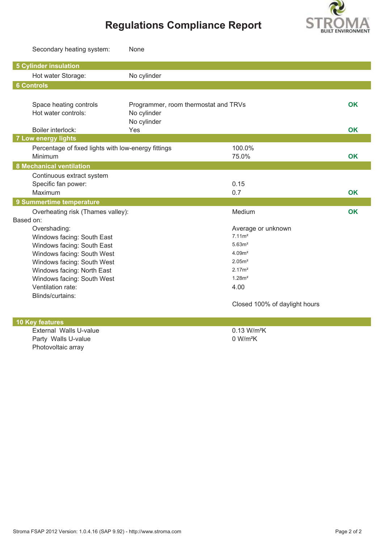

# **Regulations Compliance Report**

|                                                          | Secondary heating system:                           | None                                 |                                         |           |
|----------------------------------------------------------|-----------------------------------------------------|--------------------------------------|-----------------------------------------|-----------|
|                                                          | <b>5 Cylinder insulation</b>                        |                                      |                                         |           |
|                                                          | Hot water Storage:                                  | No cylinder                          |                                         |           |
|                                                          | <b>6 Controls</b>                                   |                                      |                                         |           |
|                                                          |                                                     |                                      |                                         |           |
|                                                          | Space heating controls                              | Programmer, room thermostat and TRVs |                                         | <b>OK</b> |
|                                                          | Hot water controls:                                 | No cylinder                          |                                         |           |
|                                                          |                                                     | No cylinder                          |                                         |           |
|                                                          | Boiler interlock:                                   | Yes                                  |                                         | <b>OK</b> |
|                                                          | <b>7 Low energy lights</b>                          |                                      |                                         |           |
|                                                          | Percentage of fixed lights with low-energy fittings |                                      | 100.0%                                  |           |
|                                                          | Minimum                                             |                                      | 75.0%                                   | OK        |
|                                                          | <b>8 Mechanical ventilation</b>                     |                                      |                                         |           |
|                                                          | Continuous extract system                           |                                      |                                         |           |
|                                                          | Specific fan power:                                 |                                      | 0.15                                    |           |
|                                                          | Maximum                                             |                                      | 0.7                                     | <b>OK</b> |
|                                                          | 9 Summertime temperature                            |                                      |                                         |           |
|                                                          | Overheating risk (Thames valley):                   |                                      | Medium                                  | OK        |
| Based on:                                                |                                                     |                                      |                                         |           |
| Overshading:                                             |                                                     |                                      | Average or unknown<br>7.11 <sup>2</sup> |           |
| Windows facing: South East<br>Windows facing: South East |                                                     |                                      | 5.63m <sup>2</sup>                      |           |
|                                                          | Windows facing: South West                          |                                      | 4.09 <sup>2</sup>                       |           |
|                                                          | Windows facing: South West                          |                                      | 2.05 <sup>m²</sup>                      |           |
|                                                          | Windows facing: North East                          |                                      | 2.17 <sup>2</sup>                       |           |
|                                                          | Windows facing: South West                          |                                      | 1.28m <sup>2</sup>                      |           |
|                                                          | Ventilation rate:                                   |                                      | 4.00                                    |           |
|                                                          | Blinds/curtains:                                    |                                      |                                         |           |
|                                                          |                                                     |                                      | Closed 100% of daylight hours           |           |
|                                                          |                                                     |                                      |                                         |           |
|                                                          | <b>10 Key features</b>                              |                                      |                                         |           |
|                                                          | External Walls U-value                              |                                      | 0.13 W/m <sup>2</sup> K                 |           |
|                                                          | Party Walls U-value                                 |                                      | 0 W/m <sup>2</sup> K                    |           |
|                                                          | Photovoltaic array                                  |                                      |                                         |           |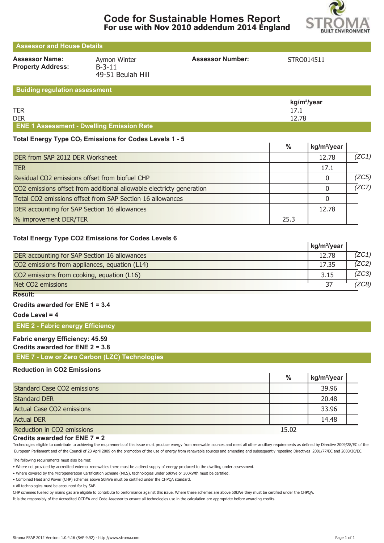



 $\overline{1}$ 

## **Assessor and House Details** Assessor Name: Aymon Winter **Assessor Number:** STRO014511 **Property Address:** B-3-11 49-51 Beulah Hill **Buiding regulation assessment**

|                                                  | kg/m <sup>2</sup> /year |
|--------------------------------------------------|-------------------------|
| <b>TER</b>                                       | 17.1                    |
| <b>DER</b>                                       | 12.78                   |
| <b>ENE 1 Assessment - Dwelling Emission Rate</b> |                         |

#### Total Energy Type CO<sub>2</sub> Emissions for Codes Levels 1 - 5

|                                                                      | %    | kg/m <sup>2</sup> /year |       |
|----------------------------------------------------------------------|------|-------------------------|-------|
| DER from SAP 2012 DER Worksheet                                      |      | 12.78                   | (ZC1) |
| <b>TER</b>                                                           |      | 17.1                    |       |
| Residual CO2 emissions offset from biofuel CHP                       |      |                         | (ZC5) |
| CO2 emissions offset from additional allowable electricty generation |      |                         | (ZC7) |
| Total CO2 emissions offset from SAP Section 16 allowances            |      |                         |       |
| DER accounting for SAP Section 16 allowances                         |      | 12.78                   |       |
| % improvement DER/TER                                                | 25.3 |                         |       |

#### **Total Energy Type CO2 Emissions for Codes Levels 6**

|                                               | kg/m <sup>2</sup> /year |       |
|-----------------------------------------------|-------------------------|-------|
| DER accounting for SAP Section 16 allowances  | 12.78                   | (ZC1) |
| CO2 emissions from appliances, equation (L14) | 17.35                   | 7ZC2) |
| CO2 emissions from cooking, equation (L16)    | 3.15                    | (ZC3) |
| Net CO2 emissions                             | 37                      | ZC8   |

## **Result:**

#### **Credits awarded for ENE 1 = 3.4**

**Code Level = 4**

#### **ENE 2 - Fabric energy Efficiency**

## **Fabric energy Efficiency: 45.59**

#### **Credits awarded for ENE 2 = 3.8**

**ENE 7 - Low or Zero Carbon (LZC) Technologies**

#### **Reduction in CO2 Emissions**

|                                    | $\frac{0}{0}$ | kg/m <sup>2</sup> /year |  |
|------------------------------------|---------------|-------------------------|--|
| <b>Standard Case CO2 emissions</b> |               | 39.96                   |  |
| <b>Standard DER</b>                |               | 20.48                   |  |
| <b>Actual Case CO2 emissions</b>   |               | 33.96                   |  |
| <b>Actual DER</b>                  |               | 14.48                   |  |
| Reduction in CO2 emissions         | 15.02         |                         |  |

#### **Credits awarded for ENE 7 = 2**

Technologies eligible to contribute to achieving the requirements of this issue must produce energy from renewable sources and meet all other ancillary requirements as defined by Directive 2009/28/EC of the European Parliament and of the Council of 23 April 2009 on the promotion of the use of energy from renewable sources and amending and subsequently repealing Directives 2001/77/EC and 2003/30/EC.

The following requirements must also be met:

• Where not provided by accredited external renewables there must be a direct supply of energy produced to the dwelling under assessment.

• Where covered by the Microgeneration Certification Scheme (MCS), technologies under 50kWe or 300kWth must be certified.

• Combined Heat and Power (CHP) schemes above 50kWe must be certified under the CHPQA standard.

• All technologies must be accounted for by SAP.

CHP schemes fuelled by mains gas are eligible to contribute to performance against this issue. Where these schemes are above 50kWe they must be certified under the CHPQA.

It is the responsibly of the Accredited OCDEA and Code Assessor to ensure all technologies use in the calculation are appropriate before awarding credits.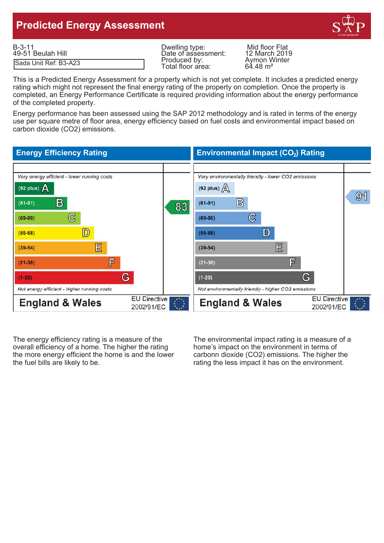## **Predicted Energy Assessment**



| $B-3-11$              | Dwelling type:                    | Mid floor Flat                      |
|-----------------------|-----------------------------------|-------------------------------------|
| 49-51 Beulah Hill     | Date of assessment:               | 12 March 2019                       |
| Sada Unit Ref: B3-A23 | Produced by:<br>Total floor area: | Aymon Winter<br>$64.48 \text{ m}^2$ |

Date of assessment: 12 March 2019<br>Produced by: Aymon Winter<br>Total floor area: 64.48 m<sup>2</sup> Total floor area:

This is a Predicted Energy Assessment for a property which is not yet complete. It includes a predicted energy rating which might not represent the final energy rating of the property on completion. Once the property is completed, an Energy Performance Certificate is required providing information about the energy performance of the completed property.

Energy performance has been assessed using the SAP 2012 methodology and is rated in terms of the energy use per square metre of floor area, energy efficiency based on fuel costs and environmental impact based on carbon dioxide (CO2) emissions.

#### **Energy Efficiency Rating Environmental Impact (CO<sub>2</sub>) Rating** Very energy efficient - lower running costs Very environmentally friendly - lower CO2 emissions (92 plus)  $\Delta$ (92 plus)  $\sqrt{\Delta}$  $91$  $\mathbb{B}$  $\mathbf{B}$  $(81 - 91)$  $(81-91)$ 83  $\mathbb{C}$  $\mathbb{C}$  $(69-80)$  $(69-80)$ D) D  $(55-68)$  $(55-68)$ 巨 巨  $(39-54)$  $(39-54)$ F 肎  $(21 - 38)$  $(21 - 38)$ G G  $(1-20)$  $(1-20)$ Not energy efficient - higher running costs Not environmentally friendly - higher CO2 emissions **EU Directive EU Directive England & Wales England & Wales** 2002/91/EC 2002/91/EC

The energy efficiency rating is a measure of the The environmental impact rating is a measure of a overall efficiency of a home. The higher the rating home's impact on the environment in terms of the more energy efficient the home is and the lower carbonn dioxide (CO2) emissions. The higher the the fuel bills are likely to be. The rating the less impact it has on the environment.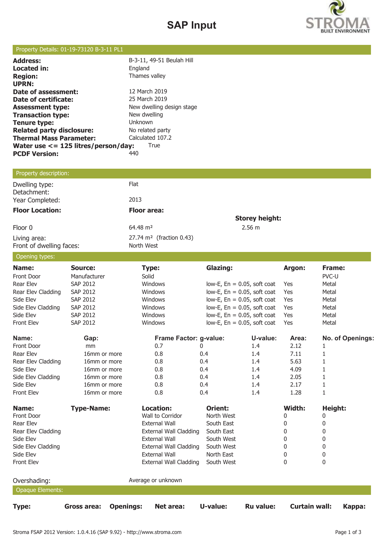# **SAP Input**



## Property Details: 01-19-73120 B-3-11 PL1

| <b>Address:</b>                           | B-3-11, 49-51 Beulah Hill |
|-------------------------------------------|---------------------------|
| Located in:                               | England                   |
| <b>Region:</b>                            | Thames valley             |
| <b>UPRN:</b>                              |                           |
| Date of assessment:                       | 12 March 2019             |
| Date of certificate:                      | 25 March 2019             |
| <b>Assessment type:</b>                   | New dwelling design stage |
| <b>Transaction type:</b>                  | New dwelling              |
| Tenure type:                              | Unknown                   |
| <b>Related party disclosure:</b>          | No related party          |
| <b>Thermal Mass Parameter:</b>            | Calculated 107.2          |
| Water use $\leq$ = 125 litres/person/day: | True                      |
| <b>PCDF Version:</b>                      | 440                       |
|                                           |                           |

## Property description:

| Dwelling type:<br>Detachment:            | Flat                                              |                       |
|------------------------------------------|---------------------------------------------------|-----------------------|
| Year Completed:                          | 2013                                              |                       |
| <b>Floor Location:</b>                   | <b>Floor area:</b>                                |                       |
|                                          |                                                   | <b>Storey height:</b> |
| Floor 0                                  | $64.48 \text{ m}^2$                               | 2.56 m                |
| Living area:<br>Front of dwelling faces: | $27.74 \text{ m}^2$ (fraction 0.43)<br>North West |                       |

#### Opening types:

| Operling types.         |                                 |                               |                                |                      |                  |
|-------------------------|---------------------------------|-------------------------------|--------------------------------|----------------------|------------------|
| Name:                   | Source:                         | Type:                         | <b>Glazing:</b>                | Argon:               | Frame:           |
| Front Door              | Manufacturer                    | Solid                         |                                |                      | PVC-U            |
| Rear Elev               | <b>SAP 2012</b>                 | Windows                       | low-E, $En = 0.05$ , soft coat | Yes                  | Metal            |
| Rear Elev Cladding      | SAP 2012                        | Windows                       | low-E, $En = 0.05$ , soft coat | Yes                  | Metal            |
| Side Elev               | SAP 2012                        | Windows                       | low-E, $En = 0.05$ , soft coat | Yes                  | Metal            |
| Side Elev Cladding      | SAP 2012                        | Windows                       | low-E, $En = 0.05$ , soft coat | Yes                  | Metal            |
| Side Elev               | SAP 2012                        | Windows                       | low-E, $En = 0.05$ , soft coat | Yes                  | Metal            |
| <b>Front Elev</b>       | SAP 2012                        | Windows                       | low-E, $En = 0.05$ , soft coat | Yes                  | Metal            |
| Name:                   | Gap:                            | Frame Factor: g-value:        | U-value:                       | Area:                | No. of Openings: |
| Front Door              | mm                              | 0.7                           | 1.4<br>0                       | 2.12                 | 1                |
| <b>Rear Elev</b>        | 16mm or more                    | 0.8                           | 0.4<br>1.4                     | 7.11                 | 1                |
| Rear Elev Cladding      | 16mm or more                    | 0.8                           | 0.4<br>1.4                     | 5.63                 | 1                |
| Side Elev               | 16mm or more                    | 0.8                           | 0.4<br>1.4                     | 4.09                 | 1                |
| Side Elev Cladding      | 16mm or more                    | 0.8                           | 0.4<br>1.4                     | 2.05                 | 1                |
| Side Elev               | 16mm or more                    | 0.8                           | 0.4<br>1.4                     | 2.17                 | 1                |
| <b>Front Elev</b>       | 16mm or more                    | 0.8                           | 1.4<br>0.4                     | 1.28                 | $\mathbf{1}$     |
| Name:                   | <b>Type-Name:</b>               | <b>Location:</b>              | <b>Orient:</b>                 | Width:               | Height:          |
| Front Door              |                                 | Wall to Corridor              | North West                     | 0                    | 0                |
| Rear Elev               |                                 | <b>External Wall</b>          | South East                     | 0                    | 0                |
| Rear Elev Cladding      |                                 | <b>External Wall Cladding</b> | South East                     | 0                    | 0                |
| Side Elev               |                                 | <b>External Wall</b>          | South West                     | 0                    | 0                |
| Side Elev Cladding      |                                 | <b>External Wall Cladding</b> | South West                     | 0                    | 0                |
| Side Elev               |                                 | <b>External Wall</b>          | North East                     | 0                    | 0                |
| Front Elev              |                                 | <b>External Wall Cladding</b> | South West                     | $\mathbf{0}$         | $\mathbf{0}$     |
| Overshading:            |                                 | Average or unknown            |                                |                      |                  |
| <b>Opaque Elements:</b> |                                 |                               |                                |                      |                  |
| <b>Type:</b>            | <b>Openings:</b><br>Gross area: | Net area:                     | U-value:<br><b>Ru value:</b>   | <b>Curtain wall:</b> | Kappa:           |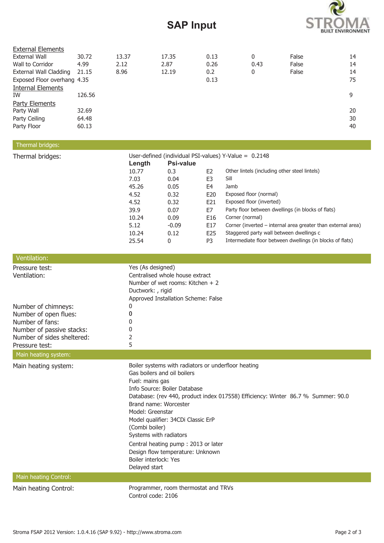# **SAP Input**



| <b>External Elements</b>      |        |       |       |      |      |       |    |
|-------------------------------|--------|-------|-------|------|------|-------|----|
| <b>External Wall</b>          | 30.72  | 13.37 | 17.35 | 0.13 | 0    | False | 14 |
| Wall to Corridor              | 4.99   | 2.12  | 2.87  | 0.26 | 0.43 | False | 14 |
| <b>External Wall Cladding</b> | 21.15  | 8.96  | 12.19 | 0.2  | 0    | False | 14 |
| Exposed Floor overhang 4.35   |        |       |       | 0.13 |      |       | 75 |
| <b>Internal Elements</b>      |        |       |       |      |      |       |    |
| IW                            | 126.56 |       |       |      |      |       | 9  |
| Party Elements                |        |       |       |      |      |       |    |
| Party Wall                    | 32.69  |       |       |      |      |       | 20 |
| Party Ceiling                 | 64.48  |       |       |      |      |       | 30 |
| Party Floor                   | 60.13  |       |       |      |      |       | 40 |

## Thermal bridges:

| Thermal bridges: | User-defined (individual PSI-values) Y-Value = $0.2148$ |           |                |                                                              |  |
|------------------|---------------------------------------------------------|-----------|----------------|--------------------------------------------------------------|--|
|                  | Length                                                  | Psi-value |                |                                                              |  |
|                  | 10.77                                                   | 0.3       | E <sub>2</sub> | Other lintels (including other steel lintels)                |  |
|                  | 7.03                                                    | 0.04      | E3             | Sill                                                         |  |
|                  | 45.26                                                   | 0.05      | E4             | Jamb                                                         |  |
|                  | 4.52                                                    | 0.32      | E20            | Exposed floor (normal)                                       |  |
|                  | 4.52                                                    | 0.32      | E21            | Exposed floor (inverted)                                     |  |
|                  | 39.9                                                    | 0.07      | E7             | Party floor between dwellings (in blocks of flats)           |  |
|                  | 10.24                                                   | 0.09      | E16            | Corner (normal)                                              |  |
|                  | 5.12                                                    | $-0.09$   | E17            | Corner (inverted – internal area greater than external area) |  |
|                  | 10.24                                                   | 0.12      | E25            | Staggered party wall between dwellings c                     |  |
|                  | 25.54                                                   | 0         | P <sub>3</sub> | Intermediate floor between dwellings (in blocks of flats)    |  |

| Ventilation:                                                                                                                                 |                                                                                                                                                                                                                                                                                                                                                                                                                                                                               |
|----------------------------------------------------------------------------------------------------------------------------------------------|-------------------------------------------------------------------------------------------------------------------------------------------------------------------------------------------------------------------------------------------------------------------------------------------------------------------------------------------------------------------------------------------------------------------------------------------------------------------------------|
| Pressure test:<br>Ventilation:                                                                                                               | Yes (As designed)<br>Centralised whole house extract<br>Number of wet rooms: Kitchen $+2$<br>Ductwork: , rigid<br>Approved Installation Scheme: False                                                                                                                                                                                                                                                                                                                         |
| Number of chimneys:<br>Number of open flues:<br>Number of fans:<br>Number of passive stacks:<br>Number of sides sheltered:<br>Pressure test: | 0<br>0<br>O<br>2<br>5                                                                                                                                                                                                                                                                                                                                                                                                                                                         |
| Main heating system:                                                                                                                         |                                                                                                                                                                                                                                                                                                                                                                                                                                                                               |
| Main heating system:                                                                                                                         | Boiler systems with radiators or underfloor heating<br>Gas boilers and oil boilers<br>Fuel: mains gas<br>Info Source: Boiler Database<br>Database: (rev 440, product index 017558) Efficiency: Winter 86.7 % Summer: 90.0<br>Brand name: Worcester<br>Model: Greenstar<br>Model qualifier: 34CDi Classic ErP<br>(Combi boiler)<br>Systems with radiators<br>Central heating pump: 2013 or later<br>Design flow temperature: Unknown<br>Boiler interlock: Yes<br>Delayed start |
| Main heating Control:                                                                                                                        |                                                                                                                                                                                                                                                                                                                                                                                                                                                                               |
| Main heating Control:                                                                                                                        | Programmer, room thermostat and TRVs<br>Control code: 2106                                                                                                                                                                                                                                                                                                                                                                                                                    |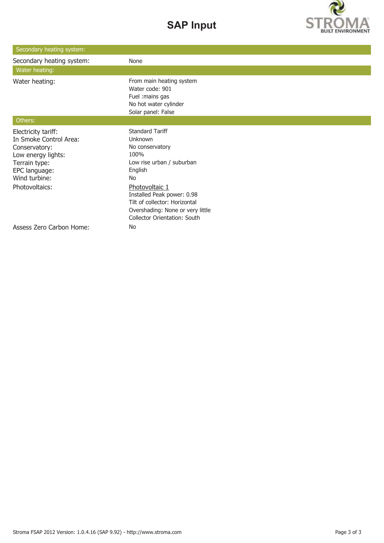# **SAP Input**



| Secondary heating system:                                                                                                               |                                                                                                                                                          |
|-----------------------------------------------------------------------------------------------------------------------------------------|----------------------------------------------------------------------------------------------------------------------------------------------------------|
| Secondary heating system:                                                                                                               | None                                                                                                                                                     |
| Water heating:                                                                                                                          |                                                                                                                                                          |
| Water heating:                                                                                                                          | From main heating system<br>Water code: 901<br>Fuel : mains gas<br>No hot water cylinder<br>Solar panel: False                                           |
| Others:                                                                                                                                 |                                                                                                                                                          |
| Electricity tariff:<br>In Smoke Control Area:<br>Conservatory:<br>Low energy lights:<br>Terrain type:<br>EPC language:<br>Wind turbine: | <b>Standard Tariff</b><br>Unknown<br>No conservatory<br>100%<br>Low rise urban / suburban<br>English<br>No                                               |
| Photovoltaics:                                                                                                                          | Photovoltaic 1<br>Installed Peak power: 0.98<br>Tilt of collector: Horizontal<br>Overshading: None or very little<br><b>Collector Orientation: South</b> |
| <b>Assess Zero Carbon Home:</b>                                                                                                         | No                                                                                                                                                       |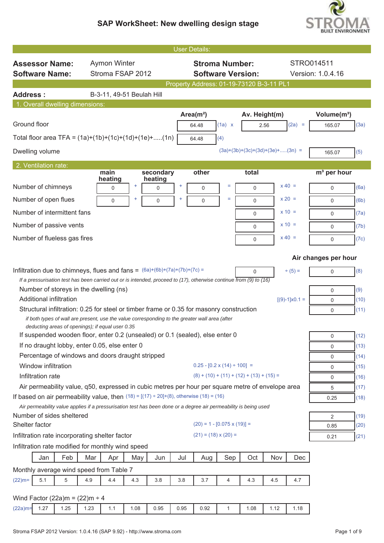

|                                                                                                                                                    |                           |           |                           | <b>User Details:</b> |                             |                                                                                     |               |                                          |                        |                                        |              |  |
|----------------------------------------------------------------------------------------------------------------------------------------------------|---------------------------|-----------|---------------------------|----------------------|-----------------------------|-------------------------------------------------------------------------------------|---------------|------------------------------------------|------------------------|----------------------------------------|--------------|--|
| <b>Assessor Name:</b>                                                                                                                              | <b>Aymon Winter</b>       |           |                           |                      |                             | <b>Stroma Number:</b>                                                               |               |                                          | STRO014511             |                                        |              |  |
| <b>Software Name:</b>                                                                                                                              | Stroma FSAP 2012          |           |                           |                      |                             | <b>Software Version:</b>                                                            |               |                                          |                        | Version: 1.0.4.16                      |              |  |
|                                                                                                                                                    |                           |           |                           |                      |                             |                                                                                     |               | Property Address: 01-19-73120 B-3-11 PL1 |                        |                                        |              |  |
| <b>Address:</b>                                                                                                                                    | B-3-11, 49-51 Beulah Hill |           |                           |                      |                             |                                                                                     |               |                                          |                        |                                        |              |  |
| 1. Overall dwelling dimensions:                                                                                                                    |                           |           |                           |                      |                             |                                                                                     |               |                                          |                        |                                        |              |  |
| Ground floor                                                                                                                                       |                           |           |                           |                      | Area $(m2)$<br>64.48        | (1a) x                                                                              | Av. Height(m) | 2.56                                     | $(2a) =$               | Volume(m <sup>3</sup> )<br>165.07      | (3a)         |  |
| Total floor area TFA = $(1a)+(1b)+(1c)+(1d)+(1e)+(1n)$                                                                                             |                           |           |                           |                      | 64.48                       | (4)                                                                                 |               |                                          |                        |                                        |              |  |
| Dwelling volume                                                                                                                                    |                           |           |                           |                      |                             |                                                                                     |               | $(3a)+(3b)+(3c)+(3d)+(3e)+(3n)$ =        |                        | 165.07                                 | (5)          |  |
| 2. Ventilation rate:                                                                                                                               |                           |           |                           |                      |                             |                                                                                     |               |                                          |                        |                                        |              |  |
| Number of chimneys                                                                                                                                 | main<br>heating<br>0      | $\ddot{}$ | secondary<br>heating<br>0 | ÷                    | other<br>0                  | $=$                                                                                 | total<br>0    |                                          | $x 40 =$               | m <sup>3</sup> per hour<br>$\mathbf 0$ | (6a)         |  |
| Number of open flues                                                                                                                               | $\mathbf 0$               | ÷         | 0                         |                      | $\mathbf 0$                 | $=$                                                                                 | $\mathbf 0$   |                                          | $x 20 =$               | $\mathbf 0$                            | (6b)         |  |
| Number of intermittent fans                                                                                                                        |                           |           |                           |                      |                             |                                                                                     |               |                                          | $x = 10 =$             |                                        |              |  |
|                                                                                                                                                    |                           |           |                           |                      |                             |                                                                                     | 0             |                                          | $x = 10 =$             | $\mathbf 0$                            | (7a)         |  |
| Number of passive vents                                                                                                                            |                           |           |                           |                      |                             |                                                                                     | $\mathbf 0$   |                                          |                        | $\mathbf 0$                            | (7b)         |  |
| Number of flueless gas fires                                                                                                                       |                           |           |                           |                      |                             |                                                                                     | $\mathbf 0$   |                                          | $x 40 =$               | 0                                      | (7c)         |  |
| Air changes per hour                                                                                                                               |                           |           |                           |                      |                             |                                                                                     |               |                                          |                        |                                        |              |  |
| Infiltration due to chimneys, flues and fans = $(6a)+(6b)+(7a)+(7b)+(7c) =$                                                                        |                           |           |                           |                      |                             |                                                                                     | 0             |                                          | $+ (5) =$              | $\mathbf 0$                            | (8)          |  |
| If a pressurisation test has been carried out or is intended, proceed to $(17)$ , otherwise continue from $(9)$ to $(16)$                          |                           |           |                           |                      |                             |                                                                                     |               |                                          |                        |                                        |              |  |
| Number of storeys in the dwelling (ns)<br>Additional infiltration                                                                                  |                           |           |                           |                      |                             |                                                                                     |               |                                          |                        | $\mathsf 0$                            | (9)          |  |
| Structural infiltration: 0.25 for steel or timber frame or 0.35 for masonry construction                                                           |                           |           |                           |                      |                             |                                                                                     |               |                                          | $[(9)-1] \times 0.1 =$ | $\mathbf 0$<br>0                       | (10)<br>(11) |  |
| if both types of wall are present, use the value corresponding to the greater wall area (after<br>deducting areas of openings); if equal user 0.35 |                           |           |                           |                      |                             |                                                                                     |               |                                          |                        |                                        |              |  |
| If suspended wooden floor, enter 0.2 (unsealed) or 0.1 (sealed), else enter 0                                                                      |                           |           |                           |                      |                             |                                                                                     |               |                                          |                        | $\mathsf{O}$                           | (12)         |  |
| If no draught lobby, enter 0.05, else enter 0                                                                                                      |                           |           |                           |                      |                             |                                                                                     |               |                                          |                        | $\mathbf 0$                            | (13)         |  |
| Percentage of windows and doors draught stripped                                                                                                   |                           |           |                           |                      |                             |                                                                                     |               |                                          |                        | 0                                      | (14)         |  |
| Window infiltration                                                                                                                                |                           |           |                           |                      |                             | $0.25 - [0.2 \times (14) \div 100] =$<br>$(8) + (10) + (11) + (12) + (13) + (15) =$ |               |                                          |                        | 0                                      | (15)         |  |
| Infiltration rate<br>Air permeability value, q50, expressed in cubic metres per hour per square metre of envelope area                             |                           |           |                           |                      |                             |                                                                                     |               |                                          |                        | 0                                      | (16)         |  |
| If based on air permeability value, then $(18) = [(17) \div 20] + (8)$ , otherwise $(18) = (16)$                                                   |                           |           |                           |                      |                             |                                                                                     |               |                                          |                        | 5<br>0.25                              | (17)<br>(18) |  |
| Air permeability value applies if a pressurisation test has been done or a degree air permeability is being used                                   |                           |           |                           |                      |                             |                                                                                     |               |                                          |                        |                                        |              |  |
| Number of sides sheltered                                                                                                                          |                           |           |                           |                      |                             |                                                                                     |               |                                          |                        | $\overline{2}$                         | (19)         |  |
| Shelter factor                                                                                                                                     |                           |           |                           |                      |                             | $(20) = 1 - [0.075 \times (19)] =$                                                  |               |                                          |                        | 0.85                                   | (20)         |  |
| Infiltration rate incorporating shelter factor                                                                                                     |                           |           |                           |                      | $(21) = (18) \times (20) =$ |                                                                                     |               |                                          |                        | 0.21                                   | (21)         |  |
| Infiltration rate modified for monthly wind speed                                                                                                  |                           |           |                           |                      |                             |                                                                                     |               |                                          |                        |                                        |              |  |
| Feb<br>Jan                                                                                                                                         | Mar<br>Apr                | May       | Jun                       | Jul                  | Aug                         | Sep                                                                                 | Oct           | Nov                                      | Dec                    |                                        |              |  |
| Monthly average wind speed from Table 7                                                                                                            |                           |           |                           |                      |                             |                                                                                     |               |                                          |                        |                                        |              |  |
| $(22)$ m=<br>5.1<br>5                                                                                                                              | 4.4<br>4.9                | 4.3       | 3.8                       | 3.8                  | 3.7                         | 4                                                                                   | 4.3           | 4.5                                      | 4.7                    |                                        |              |  |
| Wind Factor (22a)m = $(22)$ m ÷ 4                                                                                                                  |                           |           |                           |                      |                             |                                                                                     |               |                                          |                        |                                        |              |  |
| 1.27<br>1.25<br>$(22a)$ m=                                                                                                                         | 1.23<br>1.1               | 1.08      | 0.95                      | 0.95                 | 0.92                        | $\mathbf{1}$                                                                        | 1.08          | 1.12                                     | 1.18                   |                                        |              |  |
|                                                                                                                                                    |                           |           |                           |                      |                             |                                                                                     |               |                                          |                        |                                        |              |  |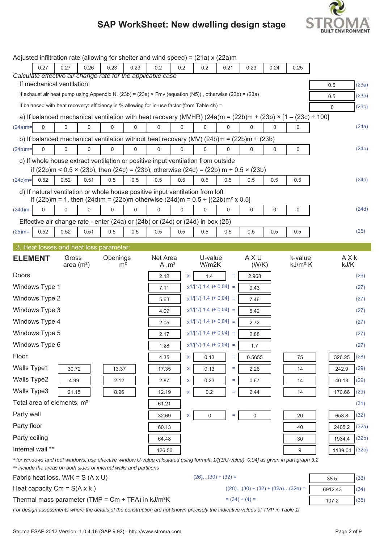

|                |                  |                                        |             | Adjusted infiltration rate (allowing for shelter and wind speed) = (21a) x (22a)m                                |      |                   |             |                         |          |           |      |                                                                                                                                      |             |       |
|----------------|------------------|----------------------------------------|-------------|------------------------------------------------------------------------------------------------------------------|------|-------------------|-------------|-------------------------|----------|-----------|------|--------------------------------------------------------------------------------------------------------------------------------------|-------------|-------|
|                | 0.27             | 0.27                                   | 0.26        | 0.23                                                                                                             | 0.23 | 0.2               | 0.2         | 0.2                     | 0.21     | 0.23      | 0.24 | 0.25                                                                                                                                 |             |       |
|                |                  |                                        |             | Calculate effective air change rate for the applicable case                                                      |      |                   |             |                         |          |           |      |                                                                                                                                      |             |       |
|                |                  | If mechanical ventilation:             |             |                                                                                                                  |      |                   |             |                         |          |           |      |                                                                                                                                      | 0.5         | (23a) |
|                |                  |                                        |             | If exhaust air heat pump using Appendix N, $(23b) = (23a) \times Fmv$ (equation (N5)), otherwise $(23b) = (23a)$ |      |                   |             |                         |          |           |      |                                                                                                                                      | 0.5         | (23b) |
|                |                  |                                        |             | If balanced with heat recovery: efficiency in % allowing for in-use factor (from Table 4h) =                     |      |                   |             |                         |          |           |      |                                                                                                                                      | $\mathbf 0$ | (23c) |
|                |                  |                                        |             |                                                                                                                  |      |                   |             |                         |          |           |      | a) If balanced mechanical ventilation with heat recovery (MVHR) (24a)m = (22b)m + (23b) × [1 - (23c) ÷ 100]                          |             |       |
| $(24a)$ m=     | $\mathbf 0$      | 0                                      | $\mathbf 0$ | $\Omega$                                                                                                         | 0    | $\Omega$          | $\Omega$    | $\Omega$                | $\Omega$ | 0         | 0    | $\Omega$                                                                                                                             |             | (24a) |
|                |                  |                                        |             | b) If balanced mechanical ventilation without heat recovery (MV) $(24b)m = (22b)m + (23b)$                       |      |                   |             |                         |          |           |      |                                                                                                                                      |             |       |
| $(24b)$ m=     | $\mathbf 0$      | 0                                      | 0           | 0                                                                                                                | 0    | $\mathbf 0$       | 0           | 0                       | 0        | 0         | 0    | 0                                                                                                                                    |             | (24b) |
|                |                  |                                        |             | c) If whole house extract ventilation or positive input ventilation from outside                                 |      |                   |             |                         |          |           |      |                                                                                                                                      |             |       |
|                |                  |                                        |             | if (22b)m < $0.5 \times$ (23b), then (24c) = (23b); otherwise (24c) = (22b) m + $0.5 \times$ (23b)               |      |                   |             |                         |          |           |      |                                                                                                                                      |             |       |
| $(24c)$ m=     | 0.52             | 0.52                                   | 0.51        | 0.5                                                                                                              | 0.5  | 0.5               | 0.5         | 0.5                     | 0.5      | 0.5       | 0.5  | 0.5                                                                                                                                  |             | (24c) |
|                |                  |                                        |             | d) If natural ventilation or whole house positive input ventilation from loft                                    |      |                   |             |                         |          |           |      |                                                                                                                                      |             |       |
|                |                  |                                        |             | if (22b)m = 1, then (24d)m = (22b)m otherwise (24d)m = $0.5 + [(22b)m2 \times 0.5]$                              |      |                   |             |                         |          |           |      |                                                                                                                                      |             |       |
| $(24d)$ m=     | $\mathbf 0$      | 0                                      | $\mathbf 0$ | 0                                                                                                                | 0    | 0                 | $\mathbf 0$ | 0                       | 0        | 0         | 0    | 0                                                                                                                                    |             | (24d) |
|                |                  |                                        |             | Effective air change rate - enter (24a) or (24b) or (24c) or (24d) in box (25)                                   |      |                   |             |                         |          |           |      |                                                                                                                                      |             |       |
| $(25)$ m=      | 0.52             | 0.52                                   | 0.51        | 0.5                                                                                                              | 0.5  | 0.5               | 0.5         | 0.5                     | 0.5      | 0.5       | 0.5  | 0.5                                                                                                                                  |             | (25)  |
|                |                  |                                        |             | 3. Heat losses and heat loss parameter:                                                                          |      |                   |             |                         |          |           |      |                                                                                                                                      |             |       |
| <b>ELEMENT</b> |                  | Gross                                  |             | Openings                                                                                                         |      | Net Area          |             | U-value                 |          | AXU       |      | k-value                                                                                                                              | AXk         |       |
|                |                  | area $(m2)$                            |             | m <sup>2</sup>                                                                                                   |      | A, m <sup>2</sup> |             | W/m2K                   |          | (W/K)     |      | $kJ/m^2$ ·K                                                                                                                          | kJ/K        |       |
| Doors          |                  |                                        |             |                                                                                                                  |      | 2.12              | <b>X</b>    | 1.4                     | $\equiv$ | 2.968     |      |                                                                                                                                      |             | (26)  |
|                | Windows Type 1   |                                        |             |                                                                                                                  |      | 7.11              |             | $x1/[1/(1.4) + 0.04] =$ |          | 9.43      |      |                                                                                                                                      |             | (27)  |
|                | Windows Type 2   |                                        |             |                                                                                                                  |      | 5.63              |             | $x1/[1/(1.4) + 0.04] =$ |          | 7.46      |      |                                                                                                                                      |             | (27)  |
|                | Windows Type 3   |                                        |             |                                                                                                                  |      | 4.09              |             | $x1/[1/(1.4) + 0.04] =$ |          | 5.42      |      |                                                                                                                                      |             | (27)  |
|                | Windows Type 4   |                                        |             |                                                                                                                  |      | 2.05              |             | $x1/[1/(1.4) + 0.04] =$ |          | 2.72      |      |                                                                                                                                      |             | (27)  |
|                | Windows Type 5   |                                        |             |                                                                                                                  |      | 2.17              |             | $x1/[1/(1.4) + 0.04] =$ |          | 2.88      |      |                                                                                                                                      |             | (27)  |
|                | Windows Type 6   |                                        |             |                                                                                                                  |      | 1.28              |             | $x1/[1/(1.4) + 0.04] =$ |          | 1.7       |      |                                                                                                                                      |             | (27)  |
| Floor          |                  |                                        |             |                                                                                                                  |      | 4.35              | X           | 0.13                    | $\equiv$ | 0.5655    |      | 75                                                                                                                                   | 326.25      | (28)  |
| Walls Type1    |                  | 30.72                                  |             | 13.37                                                                                                            |      | 17.35             | x           | 0.13                    | Ξ        | 2.26      |      | 14                                                                                                                                   | 242.9       | (29)  |
| Walls Type2    |                  | 4.99                                   |             | 2.12                                                                                                             |      | 2.87              | X           | 0.23                    | Ξ        | 0.67      |      | 14                                                                                                                                   | 40.18       | (29)  |
| Walls Type3    |                  | 21.15                                  |             | 8.96                                                                                                             |      | 12.19             | X           |                         | $\equiv$ | 2.44      |      | 14                                                                                                                                   | 170.66      | (29)  |
|                |                  | Total area of elements, m <sup>2</sup> |             |                                                                                                                  |      |                   |             | 0.2                     |          |           |      |                                                                                                                                      |             |       |
|                |                  |                                        |             |                                                                                                                  |      | 61.21             |             |                         |          |           |      |                                                                                                                                      |             | (31)  |
| Party wall     |                  |                                        |             |                                                                                                                  |      | 32.69             | x           | 0                       | $\equiv$ | $\pmb{0}$ |      | 20                                                                                                                                   | 653.8       | (32)  |
| Party floor    |                  |                                        |             |                                                                                                                  |      | 60.13             |             |                         |          |           |      | 40                                                                                                                                   | 2405.2      | (32a) |
| Party ceiling  |                  |                                        |             |                                                                                                                  |      | 64.48             |             |                         |          |           |      | 30                                                                                                                                   | 1934.4      | (32b) |
|                | Internal wall ** |                                        |             |                                                                                                                  |      | 126.56            |             |                         |          |           |      | 9                                                                                                                                    | 1139.04     | (32c) |
|                |                  |                                        |             |                                                                                                                  |      |                   |             |                         |          |           |      | * for windows and roof windows, use effective window U-value calculated using formula 1/[(1/U-value)+0.04] as given in paragraph 3.2 |             |       |

*\*\* include the areas on both sides of internal walls and partitions*

 $(26)...(30) + (32) =$  38.5 (33) Heat capacity Cm = S(A x k)  $((28)...(30) + (32) + (32a)...(32e)) = 6912.43$  (34) Thermal mass parameter (TMP = Cm ÷ TFA) in kJ/m<sup>2</sup>K = (34) ÷ (4) = 107.2 (35)

*For design assessments where the details of the construction are not known precisely the indicative values of TMP in Table 1f*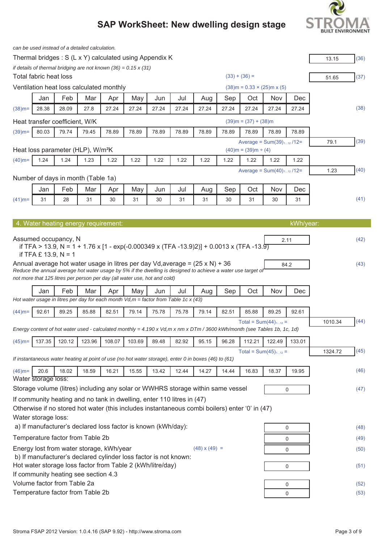# **BUILT ENVIRONMENT**

|                                    |                        |                                | can be used instead of a detailed calculation. |                                          |                                                                                                                                |       |                                                                                               |                                                                                                                          |       |                             |                                |             |         |      |
|------------------------------------|------------------------|--------------------------------|------------------------------------------------|------------------------------------------|--------------------------------------------------------------------------------------------------------------------------------|-------|-----------------------------------------------------------------------------------------------|--------------------------------------------------------------------------------------------------------------------------|-------|-----------------------------|--------------------------------|-------------|---------|------|
|                                    |                        |                                |                                                |                                          | Thermal bridges: S (L x Y) calculated using Appendix K                                                                         |       |                                                                                               |                                                                                                                          |       |                             |                                |             | 13.15   | (36) |
|                                    |                        |                                |                                                |                                          | if details of thermal bridging are not known $(36) = 0.15 \times (31)$                                                         |       |                                                                                               |                                                                                                                          |       |                             |                                |             |         |      |
|                                    | Total fabric heat loss |                                |                                                |                                          |                                                                                                                                |       |                                                                                               |                                                                                                                          |       | $(33) + (36) =$             |                                |             | 51.65   | (37) |
|                                    |                        |                                |                                                | Ventilation heat loss calculated monthly |                                                                                                                                |       |                                                                                               |                                                                                                                          |       |                             | $(38)$ m = 0.33 × (25)m x (5)  |             |         |      |
|                                    | Jan                    | Feb                            | Mar                                            | Apr                                      | May                                                                                                                            | Jun   | Jul                                                                                           | Aug                                                                                                                      | Sep   | Oct                         | Nov                            | Dec         |         |      |
| $(38)$ m=                          | 28.38                  | 28.09                          | 27.8                                           | 27.24                                    | 27.24                                                                                                                          | 27.24 | 27.24                                                                                         | 27.24                                                                                                                    | 27.24 | 27.24                       | 27.24                          | 27.24       |         | (38) |
|                                    |                        | Heat transfer coefficient, W/K |                                                |                                          |                                                                                                                                |       |                                                                                               |                                                                                                                          |       | $(39)$ m = $(37) + (38)$ m  |                                |             |         |      |
| $(39)$ m=                          | 80.03                  | 79.74                          | 79.45                                          | 78.89                                    | 78.89                                                                                                                          | 78.89 | 78.89                                                                                         | 78.89                                                                                                                    | 78.89 | 78.89                       | 78.89                          | 78.89       |         |      |
|                                    |                        |                                | Heat loss parameter (HLP), W/m <sup>2</sup> K  |                                          |                                                                                                                                |       |                                                                                               |                                                                                                                          |       | $(40)$ m = $(39)$ m ÷ $(4)$ | Average = $Sum(39)_{112}$ /12= |             | 79.1    | (39) |
| $(40)$ m=                          | 1.24                   | 1.24                           | 1.23                                           | 1.22                                     | 1.22                                                                                                                           | 1.22  | 1.22                                                                                          | 1.22                                                                                                                     | 1.22  | 1.22                        | 1.22                           | 1.22        |         |      |
|                                    |                        |                                |                                                |                                          |                                                                                                                                |       |                                                                                               |                                                                                                                          |       |                             | Average = $Sum(40)_{112}$ /12= |             | 1.23    | (40) |
| Number of days in month (Table 1a) |                        |                                |                                                |                                          |                                                                                                                                |       |                                                                                               |                                                                                                                          |       |                             |                                |             |         |      |
|                                    | Jan                    | Feb                            | Mar                                            | Apr                                      | May                                                                                                                            | Jun   | Jul                                                                                           | Aug                                                                                                                      | Sep   | Oct                         | Nov                            | Dec         |         |      |
| $(41)$ m=                          | 31                     | 28                             | 31                                             | 30                                       | 31                                                                                                                             | 30    | 31                                                                                            | 31                                                                                                                       | 30    | 31                          | 30                             | 31          |         | (41) |
|                                    |                        |                                |                                                |                                          |                                                                                                                                |       |                                                                                               |                                                                                                                          |       |                             |                                |             |         |      |
|                                    |                        |                                | 4. Water heating energy requirement:           |                                          |                                                                                                                                |       |                                                                                               |                                                                                                                          |       |                             |                                | kWh/year:   |         |      |
|                                    |                        |                                |                                                |                                          |                                                                                                                                |       |                                                                                               |                                                                                                                          |       |                             |                                |             |         |      |
|                                    |                        | Assumed occupancy, N           |                                                |                                          |                                                                                                                                |       |                                                                                               | if TFA > 13.9, N = 1 + 1.76 x [1 - exp(-0.000349 x (TFA -13.9)2)] + 0.0013 x (TFA -13.9)                                 |       |                             |                                | 2.11        |         | (42) |
|                                    | if TFA $£$ 13.9, N = 1 |                                |                                                |                                          |                                                                                                                                |       |                                                                                               |                                                                                                                          |       |                             |                                |             |         |      |
|                                    |                        |                                |                                                |                                          |                                                                                                                                |       |                                                                                               | Annual average hot water usage in litres per day Vd, average = $(25 \times N)$ + 36                                      |       |                             |                                | 84.2        |         | (43) |
|                                    |                        |                                |                                                |                                          | not more that 125 litres per person per day (all water use, hot and cold)                                                      |       |                                                                                               | Reduce the annual average hot water usage by 5% if the dwelling is designed to achieve a water use target of             |       |                             |                                |             |         |      |
|                                    |                        |                                |                                                |                                          |                                                                                                                                |       |                                                                                               |                                                                                                                          |       |                             |                                |             |         |      |
|                                    | Jan                    | Feb                            | Mar                                            | Apr                                      | May                                                                                                                            | Jun   | Jul<br>Hot water usage in litres per day for each month $Vd, m =$ factor from Table 1c x (43) | Aug                                                                                                                      | Sep   | Oct                         | Nov                            | Dec         |         |      |
|                                    |                        |                                |                                                |                                          |                                                                                                                                |       |                                                                                               |                                                                                                                          |       |                             |                                |             |         |      |
| $(44)$ m=                          | 92.61                  | 89.25                          | 85.88                                          | 82.51                                    | 79.14                                                                                                                          | 75.78 | 75.78                                                                                         | 79.14                                                                                                                    | 82.51 | 85.88                       | 89.25                          | 92.61       |         |      |
|                                    |                        |                                |                                                |                                          |                                                                                                                                |       |                                                                                               | Energy content of hot water used - calculated monthly = 4.190 x Vd,m x nm x DTm / 3600 kWh/month (see Tables 1b, 1c, 1d) |       |                             | Total = $Sum(44)_{112}$ =      |             | 1010.34 | (44) |
| $(45)$ m=                          | 137.35                 | 120.12                         | 123.96                                         | 108.07                                   | 103.69                                                                                                                         | 89.48 | 82.92                                                                                         | 95.15                                                                                                                    | 96.28 | 112.21                      | 122.49                         | 133.01      |         |      |
|                                    |                        |                                |                                                |                                          |                                                                                                                                |       |                                                                                               |                                                                                                                          |       |                             | Total = $Sum(45)_{112}$ =      |             | 1324.72 | (45) |
|                                    |                        |                                |                                                |                                          |                                                                                                                                |       |                                                                                               | If instantaneous water heating at point of use (no hot water storage), enter 0 in boxes (46) to (61)                     |       |                             |                                |             |         |      |
| $(46)$ m=                          | 20.6                   | 18.02                          | 18.59                                          | 16.21                                    | 15.55                                                                                                                          | 13.42 | 12.44                                                                                         | 14.27                                                                                                                    | 14.44 | 16.83                       | 18.37                          | 19.95       |         | (46) |
|                                    | Water storage loss:    |                                |                                                |                                          |                                                                                                                                |       |                                                                                               |                                                                                                                          |       |                             |                                |             |         |      |
|                                    |                        |                                |                                                |                                          |                                                                                                                                |       |                                                                                               | Storage volume (litres) including any solar or WWHRS storage within same vessel                                          |       |                             |                                | 0           |         | (47) |
|                                    |                        |                                |                                                |                                          |                                                                                                                                |       | If community heating and no tank in dwelling, enter 110 litres in (47)                        |                                                                                                                          |       |                             |                                |             |         |      |
|                                    |                        |                                |                                                |                                          |                                                                                                                                |       |                                                                                               | Otherwise if no stored hot water (this includes instantaneous combi boilers) enter '0' in (47)                           |       |                             |                                |             |         |      |
|                                    | Water storage loss:    |                                |                                                |                                          |                                                                                                                                |       |                                                                                               |                                                                                                                          |       |                             |                                |             |         |      |
|                                    |                        |                                |                                                |                                          | a) If manufacturer's declared loss factor is known (kWh/day):                                                                  |       |                                                                                               |                                                                                                                          |       |                             |                                | 0           |         | (48) |
|                                    |                        |                                | Temperature factor from Table 2b               |                                          |                                                                                                                                |       |                                                                                               |                                                                                                                          |       |                             |                                | 0           |         | (49) |
|                                    |                        |                                |                                                | Energy lost from water storage, kWh/year |                                                                                                                                |       |                                                                                               | $(48) \times (49) =$                                                                                                     |       |                             |                                | 0           |         | (50) |
|                                    |                        |                                |                                                |                                          | b) If manufacturer's declared cylinder loss factor is not known:<br>Hot water storage loss factor from Table 2 (kWh/litre/day) |       |                                                                                               |                                                                                                                          |       |                             |                                | 0           |         | (51) |
|                                    |                        |                                | If community heating see section 4.3           |                                          |                                                                                                                                |       |                                                                                               |                                                                                                                          |       |                             |                                |             |         |      |
|                                    |                        | Volume factor from Table 2a    |                                                |                                          |                                                                                                                                |       |                                                                                               |                                                                                                                          |       |                             |                                | 0           |         | (52) |
|                                    |                        |                                | Temperature factor from Table 2b               |                                          |                                                                                                                                |       |                                                                                               |                                                                                                                          |       |                             |                                | $\mathbf 0$ |         | (53) |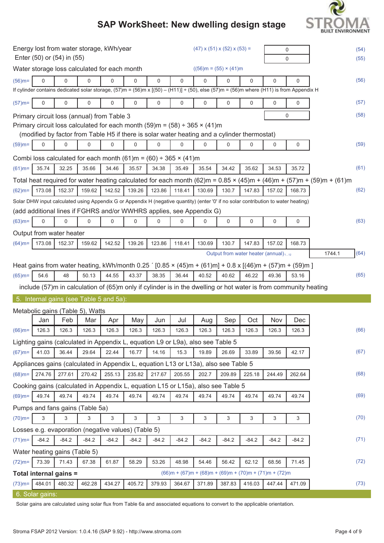# **BUILT ENVIRONMENT**

## **SAP WorkSheet: New dwelling design stage**

| Energy lost from water storage, kWh/year<br>Enter (50) or (54) in (55) |                 |                               |                                  |                                                     |         |             |                                                                                                                                                          | $(47)$ x $(51)$ x $(52)$ x $(53)$ = |                                                  |          | 0<br>0      |             | (54)<br>(55)                                                                                                            |      |
|------------------------------------------------------------------------|-----------------|-------------------------------|----------------------------------|-----------------------------------------------------|---------|-------------|----------------------------------------------------------------------------------------------------------------------------------------------------------|-------------------------------------|--------------------------------------------------|----------|-------------|-------------|-------------------------------------------------------------------------------------------------------------------------|------|
|                                                                        |                 |                               |                                  | Water storage loss calculated for each month        |         |             |                                                                                                                                                          |                                     | $((56)m = (55) \times (41)m)$                    |          |             |             |                                                                                                                         |      |
| $(56)$ m=                                                              | 0               | 0                             | 0                                | 0                                                   | 0       | $\mathbf 0$ | 0                                                                                                                                                        | 0                                   | 0                                                | $\Omega$ | 0           | 0           |                                                                                                                         | (56) |
|                                                                        |                 |                               |                                  |                                                     |         |             | If cylinder contains dedicated solar storage, $(57)$ m = $(56)$ m x $[(50) - (H11)] + (50)$ , else $(57)$ m = $(56)$ m where $(H11)$ is from Appendix H  |                                     |                                                  |          |             |             |                                                                                                                         |      |
| $(57)$ m=                                                              | 0               | 0                             | 0                                | 0                                                   | 0       | 0           | 0                                                                                                                                                        | 0                                   | 0                                                | 0        | $\mathbf 0$ | $\mathbf 0$ |                                                                                                                         | (57) |
|                                                                        |                 |                               |                                  | Primary circuit loss (annual) from Table 3          |         |             |                                                                                                                                                          |                                     |                                                  |          |             | 0           |                                                                                                                         | (58) |
|                                                                        |                 |                               |                                  |                                                     |         |             | Primary circuit loss calculated for each month $(59)$ m = $(58) \div 365 \times (41)$ m                                                                  |                                     |                                                  |          |             |             |                                                                                                                         |      |
|                                                                        |                 |                               |                                  |                                                     |         |             | (modified by factor from Table H5 if there is solar water heating and a cylinder thermostat)                                                             |                                     |                                                  |          |             |             |                                                                                                                         |      |
| $(59)$ m=                                                              | $\mathbf 0$     | 0                             | 0                                | 0                                                   | 0       | $\mathbf 0$ | 0                                                                                                                                                        | $\mathbf 0$                         | $\mathbf 0$                                      | 0        | $\mathbf 0$ | 0           |                                                                                                                         | (59) |
|                                                                        |                 |                               |                                  |                                                     |         |             | Combi loss calculated for each month $(61)$ m = $(60) \div 365 \times (41)$ m                                                                            |                                     |                                                  |          |             |             |                                                                                                                         |      |
| $(61)$ m=                                                              | 35.74           | 32.25                         | 35.66                            | 34.46                                               | 35.57   | 34.38       | 35.49                                                                                                                                                    | 35.54                               | 34.42                                            | 35.62    | 34.53       | 35.72       |                                                                                                                         | (61) |
|                                                                        |                 |                               |                                  |                                                     |         |             |                                                                                                                                                          |                                     |                                                  |          |             |             | Total heat required for water heating calculated for each month $(62)$ m = 0.85 × (45)m + (46)m + (57)m + (59)m + (61)m |      |
| $(62)$ m=                                                              | 173.08          | 152.37                        | 159.62                           | 142.52                                              | 139.26  | 123.86      | 118.41                                                                                                                                                   | 130.69                              | 130.7                                            | 147.83   | 157.02      | 168.73      |                                                                                                                         | (62) |
|                                                                        |                 |                               |                                  |                                                     |         |             | Solar DHW input calculated using Appendix G or Appendix H (negative quantity) (enter '0' if no solar contribution to water heating)                      |                                     |                                                  |          |             |             |                                                                                                                         |      |
|                                                                        |                 |                               |                                  |                                                     |         |             | (add additional lines if FGHRS and/or WWHRS applies, see Appendix G)                                                                                     |                                     |                                                  |          |             |             |                                                                                                                         |      |
| $(63)$ m=                                                              | $\mathsf 0$     | 0                             | 0                                | 0                                                   | 0       | $\mathbf 0$ | 0                                                                                                                                                        | 0                                   | 0                                                | 0        | 0           | 0           |                                                                                                                         | (63) |
|                                                                        |                 | Output from water heater      |                                  |                                                     |         |             |                                                                                                                                                          |                                     |                                                  |          |             |             |                                                                                                                         |      |
| $(64)$ m=                                                              | 173.08          | 152.37                        | 159.62                           | 142.52                                              | 139.26  | 123.86      | 118.41                                                                                                                                                   | 130.69                              | 130.7                                            | 147.83   | 157.02      | 168.73      |                                                                                                                         |      |
|                                                                        |                 |                               |                                  |                                                     |         |             |                                                                                                                                                          |                                     | Output from water heater (annual) <sub>112</sub> |          |             |             | 1744.1                                                                                                                  | (64) |
|                                                                        |                 |                               |                                  |                                                     |         |             | Heat gains from water heating, kWh/month 0.25 $(0.85 \times (45) \text{m} + (61) \text{m}) + 0.8 \times [(46) \text{m} + (57) \text{m} + (59) \text{m}]$ |                                     |                                                  |          |             |             |                                                                                                                         |      |
| $(65)$ m=                                                              | 54.6            | 48                            | 50.13                            | 44.55                                               | 43.37   | 38.35       | 36.44                                                                                                                                                    | 40.52                               | 40.62                                            | 46.22    | 49.36       | 53.16       |                                                                                                                         | (65) |
|                                                                        |                 |                               |                                  |                                                     |         |             | include (57)m in calculation of (65)m only if cylinder is in the dwelling or hot water is from community heating                                         |                                     |                                                  |          |             |             |                                                                                                                         |      |
|                                                                        |                 |                               |                                  | 5. Internal gains (see Table 5 and 5a):             |         |             |                                                                                                                                                          |                                     |                                                  |          |             |             |                                                                                                                         |      |
|                                                                        |                 |                               | Metabolic gains (Table 5), Watts |                                                     |         |             |                                                                                                                                                          |                                     |                                                  |          |             |             |                                                                                                                         |      |
|                                                                        | Jan             | Feb                           | Mar                              | Apr                                                 | May     | Jun         | Jul                                                                                                                                                      | Aug                                 | Sep                                              | Oct      | Nov         | Dec         |                                                                                                                         |      |
| $(66)$ m=                                                              | 126.3           | 126.3                         | 126.3                            | 126.3                                               | 126.3   | 126.3       | 126.3                                                                                                                                                    | 126.3                               | 126.3                                            | 126.3    | 126.3       | 126.3       |                                                                                                                         | (66) |
|                                                                        |                 |                               |                                  |                                                     |         |             | Lighting gains (calculated in Appendix L, equation L9 or L9a), also see Table 5                                                                          |                                     |                                                  |          |             |             |                                                                                                                         |      |
| $(67)$ m=                                                              | 41.03           | 36.44                         | 29.64                            | 22.44                                               | 16.77   | 14.16       | 15.3                                                                                                                                                     | 19.89                               | 26.69                                            | 33.89    | 39.56       | 42.17       |                                                                                                                         | (67) |
|                                                                        |                 |                               |                                  |                                                     |         |             | Appliances gains (calculated in Appendix L, equation L13 or L13a), also see Table 5                                                                      |                                     |                                                  |          |             |             |                                                                                                                         |      |
| $(68)$ m=                                                              | 274.76          | 277.61                        | 270.42                           | 255.13                                              | 235.82  | 217.67      | 205.55                                                                                                                                                   | 202.7                               | 209.89                                           | 225.18   | 244.49      | 262.64      |                                                                                                                         | (68) |
|                                                                        |                 |                               |                                  |                                                     |         |             | Cooking gains (calculated in Appendix L, equation L15 or L15a), also see Table 5                                                                         |                                     |                                                  |          |             |             |                                                                                                                         |      |
| $(69)$ m=                                                              | 49.74           | 49.74                         | 49.74                            | 49.74                                               | 49.74   | 49.74       | 49.74                                                                                                                                                    | 49.74                               | 49.74                                            | 49.74    | 49.74       | 49.74       |                                                                                                                         | (69) |
|                                                                        |                 |                               | Pumps and fans gains (Table 5a)  |                                                     |         |             |                                                                                                                                                          |                                     |                                                  |          |             |             |                                                                                                                         |      |
| $(70)$ m=                                                              | 3               | 3                             | 3                                | 3                                                   | 3       | 3           | 3                                                                                                                                                        | 3                                   | 3                                                | 3        | 3           | 3           |                                                                                                                         | (70) |
|                                                                        |                 |                               |                                  | Losses e.g. evaporation (negative values) (Table 5) |         |             |                                                                                                                                                          |                                     |                                                  |          |             |             |                                                                                                                         |      |
| $(71)$ m=                                                              | $-84.2$         | $-84.2$                       | $-84.2$                          | $-84.2$                                             | $-84.2$ | $-84.2$     | $-84.2$                                                                                                                                                  | $-84.2$                             | $-84.2$                                          | $-84.2$  | $-84.2$     | $-84.2$     |                                                                                                                         | (71) |
|                                                                        |                 | Water heating gains (Table 5) |                                  |                                                     |         |             |                                                                                                                                                          |                                     |                                                  |          |             |             |                                                                                                                         |      |
| $(72)$ m=                                                              | 73.39           | 71.43                         | 67.38                            | 61.87                                               | 58.29   | 53.26       | 48.98                                                                                                                                                    | 54.46                               | 56.42                                            | 62.12    | 68.56       | 71.45       |                                                                                                                         | (72) |
|                                                                        |                 | Total internal gains =        |                                  |                                                     |         |             | $(66)m + (67)m + (68)m + (69)m + (70)m + (71)m + (72)m$                                                                                                  |                                     |                                                  |          |             |             |                                                                                                                         |      |
| $(73)$ m=                                                              | 484.01          | 480.32                        | 462.28                           | 434.27                                              | 405.72  | 379.93      | 364.67                                                                                                                                                   | 371.89                              | 387.83                                           | 416.03   | 447.44      | 471.09      |                                                                                                                         | (73) |
|                                                                        | 6. Solar gains: |                               |                                  |                                                     |         |             |                                                                                                                                                          |                                     |                                                  |          |             |             |                                                                                                                         |      |

Solar gains are calculated using solar flux from Table 6a and associated equations to convert to the applicable orientation.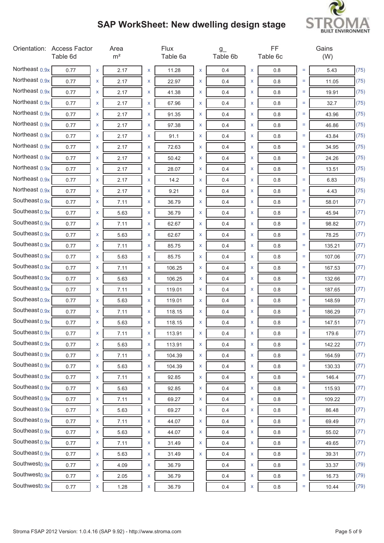

|                           | Orientation: Access Factor<br>Table 6d |   | Area<br>m <sup>2</sup> |   | Flux<br>Table 6a |   | $g_{-}$<br>Table 6b |   | FF<br>Table 6c |          | Gains<br>(W) |      |
|---------------------------|----------------------------------------|---|------------------------|---|------------------|---|---------------------|---|----------------|----------|--------------|------|
| Northeast 0.9x            | 0.77                                   | X | 2.17                   | X | 11.28            | X | 0.4                 | X | 0.8            | $=$      | 5.43         | (75) |
| Northeast 0.9x            | 0.77                                   | x | 2.17                   | X | 22.97            | X | 0.4                 | x | 0.8            | $=$      | 11.05        | (75) |
| Northeast 0.9x            | 0.77                                   | x | 2.17                   | x | 41.38            | x | 0.4                 | X | 0.8            | $=$      | 19.91        | (75) |
| Northeast 0.9x            | 0.77                                   | x | 2.17                   | x | 67.96            | X | 0.4                 | X | 0.8            | $=$      | 32.7         | (75) |
| Northeast 0.9x            | 0.77                                   | x | 2.17                   | X | 91.35            | x | 0.4                 | x | 0.8            | $=$      | 43.96        | (75) |
| Northeast 0.9x            | 0.77                                   | x | 2.17                   | x | 97.38            | x | 0.4                 | X | 0.8            | Ξ        | 46.86        | (75) |
| Northeast 0.9x            | 0.77                                   | x | 2.17                   | X | 91.1             | x | 0.4                 | x | 0.8            | $=$      | 43.84        | (75) |
| Northeast 0.9x            | 0.77                                   | x | 2.17                   | x | 72.63            | x | 0.4                 | X | 0.8            | $=$      | 34.95        | (75) |
| Northeast 0.9x            | 0.77                                   | x | 2.17                   | X | 50.42            | X | 0.4                 | x | 0.8            | $=$      | 24.26        | (75) |
| Northeast 0.9x            | 0.77                                   | x | 2.17                   | x | 28.07            | X | 0.4                 | X | 0.8            | Ξ        | 13.51        | (75) |
| Northeast 0.9x            | 0.77                                   | x | 2.17                   | X | 14.2             | x | 0.4                 | x | 0.8            | $=$      | 6.83         | (75) |
| Northeast 0.9x            | 0.77                                   | x | 2.17                   | x | 9.21             | x | 0.4                 | x | 0.8            | Ξ        | 4.43         | (75) |
| Southeast $0.9x$          | 0.77                                   | x | 7.11                   | x | 36.79            | x | 0.4                 | X | 0.8            | Ξ        | 58.01        | (77) |
| Southeast $0.9x$          | 0.77                                   | x | 5.63                   | x | 36.79            | X | 0.4                 | x | 0.8            | $=$      | 45.94        | (77) |
| Southeast $0.9x$          | 0.77                                   | x | 7.11                   | X | 62.67            | x | 0.4                 | x | 0.8            | Ξ        | 98.82        | (77) |
| Southeast $0.9x$          | 0.77                                   | x | 5.63                   | x | 62.67            | x | 0.4                 | X | 0.8            | $=$      | 78.25        | (77) |
| Southeast $0.9x$          | 0.77                                   | x | 7.11                   | X | 85.75            | x | 0.4                 | x | 0.8            | $=$      | 135.21       | (77) |
| Southeast $0.9x$          | 0.77                                   | x | 5.63                   | x | 85.75            | x | 0.4                 | x | 0.8            | Ξ        | 107.06       | (77) |
| Southeast $0.9x$          | 0.77                                   | x | 7.11                   | x | 106.25           | x | 0.4                 | x | 0.8            | $=$      | 167.53       | (77) |
| Southeast $0.9x$          | 0.77                                   | x | 5.63                   | x | 106.25           | X | 0.4                 | x | 0.8            | $=$      | 132.66       | (77) |
| Southeast $0.9x$          | 0.77                                   | x | 7.11                   | X | 119.01           | X | 0.4                 | x | 0.8            | $=$      | 187.65       | (77) |
| Southeast 0.9x            | 0.77                                   | x | 5.63                   | x | 119.01           | x | 0.4                 | X | 0.8            | $=$      | 148.59       | (77) |
| Southeast 0.9x            | 0.77                                   | x | 7.11                   | X | 118.15           | x | 0.4                 | X | 0.8            | $=$      | 186.29       | (77) |
| Southeast $0.9x$          | 0.77                                   | x | 5.63                   | x | 118.15           | x | 0.4                 | x | 0.8            | Ξ        | 147.51       | (77) |
| Southeast 0.9x            | 0.77                                   |   | 7.11                   | x | 113.91           | x | 0.4                 |   | $0.8\,$        | Ξ        | 179.6        | (77) |
| Southeast 0.9x            | 0.77                                   | X | 5.63                   | X | 113.91           | X | 0.4                 | X | 0.8            | $=$      | 142.22       | (77) |
| Southeast 0.9x            | 0.77                                   | X | 7.11                   | X | 104.39           | X | 0.4                 | X | 0.8            | $=$      | 164.59       | (77) |
| Southeast 0.9x            | 0.77                                   | X | 5.63                   | X | 104.39           | X | 0.4                 | x | 0.8            | $=$      | 130.33       | (77) |
| Southeast 0.9x            | 0.77                                   | X | 7.11                   | X | 92.85            | X | 0.4                 | X | 0.8            | $\equiv$ | 146.4        | (77) |
| Southeast 0.9x            | 0.77                                   | X | 5.63                   | X | 92.85            | X | 0.4                 | X | 0.8            | Ξ        | 115.93       | (77) |
| Southeast 0.9x            | 0.77                                   | X | 7.11                   | X | 69.27            | X | 0.4                 | X | 0.8            | Ξ        | 109.22       | (77) |
| Southeast 0.9x            | 0.77                                   | X | 5.63                   | X | 69.27            | X | 0.4                 | X | 0.8            | $=$      | 86.48        | (77) |
| Southeast 0.9x            | 0.77                                   | X | 7.11                   | X | 44.07            | X | 0.4                 | x | 0.8            | $=$      | 69.49        | (77) |
| Southeast 0.9x            | 0.77                                   | X | 5.63                   | X | 44.07            | X | 0.4                 | X | 0.8            | $=$      | 55.02        | (77) |
| Southeast 0.9x            | 0.77                                   | X | 7.11                   | X | 31.49            | X | 0.4                 | x | 0.8            | $=$      | 49.65        | (77) |
| Southeast 0.9x            | 0.77                                   | X | 5.63                   | X | 31.49            | X | 0.4                 | x | 0.8            | $=$      | 39.31        | (77) |
| Southwest <sub>0.9x</sub> | 0.77                                   | X | 4.09                   | X | 36.79            |   | 0.4                 | x | 0.8            | Ξ        | 33.37        | (79) |
| Southwest <sub>0.9x</sub> | 0.77                                   | X | 2.05                   | X | 36.79            |   | 0.4                 | x | $0.8\,$        | Ξ        | 16.73        | (79) |
| Southwest <sub>0.9x</sub> | 0.77                                   | X | 1.28                   | x | 36.79            |   | 0.4                 | X | $0.8\,$        | $=$      | 10.44        | (79) |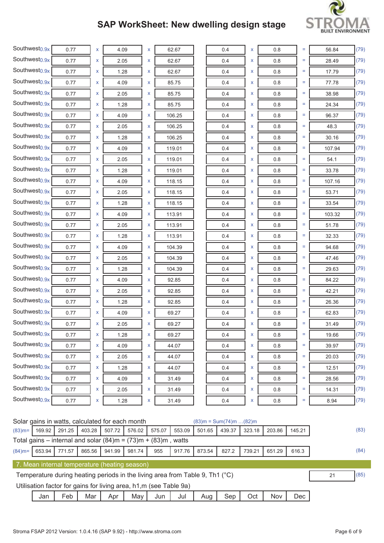

| Southwest <sub>0.9x</sub>                       | 0.77 | x | 4.09 | X | 62.67  | 0.4                        | X | 0.8     | $=$ | 56.84  | (79)  |
|-------------------------------------------------|------|---|------|---|--------|----------------------------|---|---------|-----|--------|-------|
| Southwest <sub>0.9x</sub>                       | 0.77 | X | 2.05 | X | 62.67  | 0.4                        | X | 0.8     | $=$ | 28.49  | (79)  |
| Southwest <sub>0.9x</sub>                       | 0.77 | x | 1.28 | x | 62.67  | 0.4                        | X | 0.8     | Ξ   | 17.79  | (79)  |
| Southwest <sub>0.9x</sub>                       | 0.77 | x | 4.09 | X | 85.75  | 0.4                        | x | 0.8     | $=$ | 77.78  | (79)  |
| Southwest <sub>0.9x</sub>                       | 0.77 | X | 2.05 | X | 85.75  | 0.4                        | X | 0.8     | $=$ | 38.98  | (79)  |
| Southwest <sub>0.9x</sub>                       | 0.77 | x | 1.28 | X | 85.75  | 0.4                        | X | 0.8     | Ξ   | 24.34  | (79)  |
| Southwest <sub>0.9x</sub>                       | 0.77 | x | 4.09 | X | 106.25 | 0.4                        | X | 0.8     | $=$ | 96.37  | (79)  |
| Southwest <sub>0.9x</sub>                       | 0.77 | x | 2.05 | x | 106.25 | 0.4                        | X | 0.8     | $=$ | 48.3   | (79)  |
| Southwest <sub>0.9x</sub>                       | 0.77 | x | 1.28 | x | 106.25 | 0.4                        | X | 0.8     | Ξ   | 30.16  | (79)  |
| Southwest <sub>0.9x</sub>                       | 0.77 | X | 4.09 | X | 119.01 | 0.4                        | X | 0.8     | $=$ | 107.94 | (79)  |
| Southwest <sub>0.9x</sub>                       | 0.77 | x | 2.05 | x | 119.01 | 0.4                        | X | 0.8     | Ξ   | 54.1   | (79)  |
| Southwest <sub>0.9x</sub>                       | 0.77 | x | 1.28 | X | 119.01 | 0.4                        | X | 0.8     | $=$ | 33.78  | (79)  |
| Southwest <sub>0.9x</sub>                       | 0.77 | x | 4.09 | X | 118.15 | 0.4                        | X | 0.8     | Ξ   | 107.16 | (79)  |
| Southwest <sub>0.9x</sub>                       | 0.77 | x | 2.05 | x | 118.15 | 0.4                        | X | 0.8     | Ξ   | 53.71  | (79)  |
| Southwest <sub>0.9x</sub>                       | 0.77 | x | 1.28 | x | 118.15 | 0.4                        | X | 0.8     | Ξ   | 33.54  | (79)  |
| Southwest <sub>0.9x</sub>                       | 0.77 | x | 4.09 | x | 113.91 | 0.4                        | x | 0.8     | Ξ   | 103.32 | (79)  |
| Southwest <sub>0.9x</sub>                       | 0.77 | x | 2.05 | x | 113.91 | 0.4                        | X | 0.8     | $=$ | 51.78  | (79)  |
| Southwest <sub>0.9x</sub>                       | 0.77 | x | 1.28 | X | 113.91 | 0.4                        | X | 0.8     | Ξ   | 32.33  | (79)  |
| Southwest <sub>0.9x</sub>                       | 0.77 | x | 4.09 | X | 104.39 | 0.4                        | X | 0.8     | Ξ   | 94.68  | (79)  |
| Southwest <sub>0.9x</sub>                       | 0.77 | x | 2.05 | x | 104.39 | 0.4                        | X | 0.8     | Ξ   | 47.46  | (79)  |
| Southwest <sub>0.9x</sub>                       | 0.77 | x | 1.28 | x | 104.39 | 0.4                        | X | 0.8     | Ξ   | 29.63  | (79)  |
| Southwest <sub>0.9x</sub>                       | 0.77 | x | 4.09 | X | 92.85  | 0.4                        | X | 0.8     | Ξ   | 84.22  | (79)  |
| Southwest <sub>0.9x</sub>                       | 0.77 | x | 2.05 | x | 92.85  | 0.4                        | X | 0.8     | Ξ   | 42.21  | (79)  |
| Southwest <sub>0.9x</sub>                       | 0.77 | X | 1.28 | X | 92.85  | 0.4                        | X | 0.8     | Ξ   | 26.36  | (79)  |
| Southwest <sub>0.9x</sub>                       | 0.77 | x | 4.09 | x | 69.27  | 0.4                        | X | 0.8     | $=$ | 62.83  | (79)  |
| Southwest <sub>0.9x</sub>                       | 0.77 | x | 2.05 | x | 69.27  | 0.4                        | x | 0.8     | Ξ   | 31.49  | (79)  |
| Southwest <sub>0.9x</sub>                       | 0.77 | X | 1.28 | X | 69.27  | 0.4                        | X | 0.8     | $=$ | 19.66  | (79)  |
| Southwest <sub>0.9x</sub>                       | 0.77 | x | 4.09 | X | 44.07  | 0.4                        | X | 0.8     | ÷,  | 39.97  | (79)  |
| Southwest <sub>0.9x</sub>                       | 0.77 | X | 2.05 | X | 44.07  | 0.4                        | X | 0.8     | $=$ | 20.03  | (79)  |
| Southwest <sub>0.9x</sub>                       | 0.77 | x | 1.28 | X | 44.07  | 0.4                        | X | 0.8     | $=$ | 12.51  | (79)  |
| Southwest <sub>0.9x</sub>                       | 0.77 | x | 4.09 | X | 31.49  | 0.4                        | X | $0.8\,$ | $=$ | 28.56  | (79)  |
| Southwest <sub>0.9x</sub>                       | 0.77 | X | 2.05 | X | 31.49  | 0.4                        | X | 0.8     | $=$ | 14.31  | (79)  |
| Southwest <sub>0.9x</sub>                       | 0.77 | x | 1.28 | X | 31.49  | 0.4                        | X | $0.8\,$ | $=$ | 8.94   | (79)  |
| Solar gains in watts, calculated for each month |      |   |      |   |        | $(83)m = Sum(74)m$ $(82)m$ |   |         |     |        | (0.2) |

|           |        |        |        | <b>SOI'D GOING THE WALLS, CALCULATED TO LEACH HIGHLI</b>                       |        |        |        |        | ا ۱۱۱ <i>–</i> ۱۱۵ ۱۱۱ ۱ ۱۱۱ ۱ ۱۱۱ ۱ ۱۵ ۱ ۱۱۱ رابعه) |        |            |        |    |      |
|-----------|--------|--------|--------|--------------------------------------------------------------------------------|--------|--------|--------|--------|------------------------------------------------------|--------|------------|--------|----|------|
| $(83)$ m= | 169.92 | 291.25 | 403.28 | 507.72                                                                         | 576.02 | 575.07 | 553.09 | 501.65 | 439.37                                               | 323.18 | 203.86     | 145.21 |    | (83) |
|           |        |        |        | Total gains – internal and solar $(84)$ m = $(73)$ m + $(83)$ m, watts         |        |        |        |        |                                                      |        |            |        |    |      |
| $(84)$ m= | 653.94 | 771.57 | 865.56 | 941.99                                                                         | 981.74 | 955    | 917.76 | 873.54 | 827.2                                                | 739.21 | 651.29     | 616.3  |    | (84) |
|           |        |        |        | 7. Mean internal temperature (heating season)                                  |        |        |        |        |                                                      |        |            |        |    |      |
|           |        |        |        | Temperature during heating periods in the living area from Table 9, Th1 $(°C)$ |        |        |        |        |                                                      |        |            |        | 21 | (85) |
|           |        |        |        | Utilisation factor for gains for living area, h1,m (see Table 9a)              |        |        |        |        |                                                      |        |            |        |    |      |
|           | Jan    | Feb    | Mar    | Apr                                                                            | May    | Jun    | Jul    | Aug    | Sep                                                  | Oct    | <b>Nov</b> | Dec.   |    |      |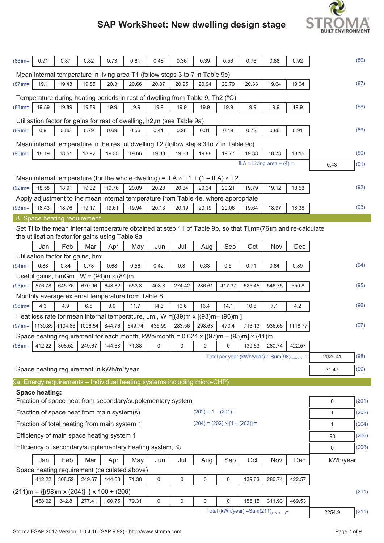

| $(86)$ m= | 0.91                  | 0.87                              | 0.82   | 0.73                                                      | 0.61   | 0.48                                                                   | 0.36   | 0.39                                                                                                                      | 0.56                                             | 0.76   | 0.88                           | 0.92    |              | (86)  |
|-----------|-----------------------|-----------------------------------|--------|-----------------------------------------------------------|--------|------------------------------------------------------------------------|--------|---------------------------------------------------------------------------------------------------------------------------|--------------------------------------------------|--------|--------------------------------|---------|--------------|-------|
|           |                       |                                   |        |                                                           |        |                                                                        |        | Mean internal temperature in living area T1 (follow steps 3 to 7 in Table 9c)                                             |                                                  |        |                                |         |              |       |
| $(87)$ m= | 19.1                  | 19.43                             | 19.85  | 20.3                                                      | 20.66  | 20.87                                                                  | 20.95  | 20.94                                                                                                                     | 20.79                                            | 20.33  | 19.64                          | 19.04   |              | (87)  |
|           |                       |                                   |        |                                                           |        |                                                                        |        | Temperature during heating periods in rest of dwelling from Table 9, Th2 (°C)                                             |                                                  |        |                                |         |              |       |
| $(88)$ m= | 19.89                 | 19.89                             | 19.89  | 19.9                                                      | 19.9   | 19.9                                                                   | 19.9   | 19.9                                                                                                                      | 19.9                                             | 19.9   | 19.9                           | 19.9    |              | (88)  |
|           |                       |                                   |        |                                                           |        | Utilisation factor for gains for rest of dwelling, h2,m (see Table 9a) |        |                                                                                                                           |                                                  |        |                                |         |              |       |
| $(89)$ m= | 0.9                   | 0.86                              | 0.79   | 0.69                                                      | 0.56   | 0.41                                                                   | 0.28   | 0.31                                                                                                                      | 0.49                                             | 0.72   | 0.86                           | 0.91    |              | (89)  |
|           |                       |                                   |        |                                                           |        |                                                                        |        |                                                                                                                           |                                                  |        |                                |         |              |       |
| $(90)$ m= | 18.19                 | 18.51                             | 18.92  | 19.35                                                     | 19.66  | 19.83                                                                  | 19.88  | Mean internal temperature in the rest of dwelling T2 (follow steps 3 to 7 in Table 9c)<br>19.88                           | 19.77                                            | 19.38  | 18.73                          | 18.15   |              | (90)  |
|           |                       |                                   |        |                                                           |        |                                                                        |        |                                                                                                                           |                                                  |        | $fLA = Living area \div (4) =$ |         | 0.43         | (91)  |
|           |                       |                                   |        |                                                           |        |                                                                        |        |                                                                                                                           |                                                  |        |                                |         |              |       |
|           |                       |                                   |        |                                                           |        |                                                                        |        | Mean internal temperature (for the whole dwelling) = $fLA \times T1 + (1 - fLA) \times T2$                                |                                                  |        |                                |         |              |       |
| $(92)$ m= | 18.58                 | 18.91                             | 19.32  | 19.76                                                     | 20.09  | 20.28                                                                  | 20.34  | 20.34                                                                                                                     | 20.21                                            | 19.79  | 19.12                          | 18.53   |              | (92)  |
|           |                       |                                   |        |                                                           |        |                                                                        |        | Apply adjustment to the mean internal temperature from Table 4e, where appropriate                                        |                                                  |        |                                |         |              |       |
| $(93)$ m= | 18.43                 | 18.76                             | 19.17  | 19.61                                                     | 19.94  | 20.13                                                                  | 20.19  | 20.19                                                                                                                     | 20.06                                            | 19.64  | 18.97                          | 18.38   |              | (93)  |
|           |                       | 8. Space heating requirement      |        |                                                           |        |                                                                        |        |                                                                                                                           |                                                  |        |                                |         |              |       |
|           |                       |                                   |        | the utilisation factor for gains using Table 9a           |        |                                                                        |        | Set Ti to the mean internal temperature obtained at step 11 of Table 9b, so that $Ti, m = (76)$ m and re-calculate        |                                                  |        |                                |         |              |       |
|           | Jan                   | Feb                               | Mar    | Apr                                                       | May    | Jun                                                                    | Jul    | Aug                                                                                                                       | Sep                                              | Oct    | Nov                            | Dec     |              |       |
|           |                       | Utilisation factor for gains, hm: |        |                                                           |        |                                                                        |        |                                                                                                                           |                                                  |        |                                |         |              |       |
| $(94)$ m= | 0.88                  | 0.84                              | 0.78   | 0.68                                                      | 0.56   | 0.42                                                                   | 0.3    | 0.33                                                                                                                      | 0.5                                              | 0.71   | 0.84                           | 0.89    |              | (94)  |
|           |                       |                                   |        | Useful gains, hmGm, $W = (94)$ m x $(84)$ m               |        |                                                                        |        |                                                                                                                           |                                                  |        |                                |         |              |       |
| $(95)$ m= | 576.78                | 645.76                            | 670.96 | 643.82                                                    | 553.8  | 403.8                                                                  | 274.42 | 286.61                                                                                                                    | 417.37                                           | 525.45 | 546.75                         | 550.8   |              | (95)  |
|           |                       |                                   |        | Monthly average external temperature from Table 8         |        |                                                                        |        |                                                                                                                           |                                                  |        |                                |         |              |       |
| $(96)$ m= | 4.3                   | 4.9                               | 6.5    | 8.9                                                       | 11.7   | 14.6                                                                   | 16.6   | 16.4                                                                                                                      | 14.1                                             | 10.6   | 7.1                            | 4.2     |              | (96)  |
|           |                       |                                   |        |                                                           |        |                                                                        |        | Heat loss rate for mean internal temperature, Lm, $W = [(39)m \times [(93)m - (96)m]$                                     |                                                  |        |                                |         |              |       |
| $(97)$ m= |                       | 1130.85 1104.86 1006.54           |        | 844.76                                                    | 649.74 | 435.99                                                                 | 283.56 | 298.63                                                                                                                    | 470.4                                            | 713.13 | 936.66                         | 1118.77 |              | (97)  |
|           |                       |                                   |        |                                                           |        |                                                                        |        | Space heating requirement for each month, kWh/month = $0.024 \times [(97) \text{m} - (95) \text{m}] \times (41) \text{m}$ |                                                  |        |                                |         |              |       |
| $(98)$ m= | 412.22                | 308.52                            | 249.67 | 144.68                                                    | 71.38  | 0                                                                      | 0      | 0                                                                                                                         | 0                                                | 139.63 | 280.74                         | 422.57  |              |       |
|           |                       |                                   |        |                                                           |        |                                                                        |        |                                                                                                                           | Total per year (kWh/year) = $Sum(98)_{15,912}$ = |        |                                |         | 2029.41      | (98)  |
|           |                       |                                   |        |                                                           |        |                                                                        |        |                                                                                                                           |                                                  |        |                                |         |              | (99)  |
|           |                       |                                   |        | Space heating requirement in kWh/m <sup>2</sup> /year     |        |                                                                        |        |                                                                                                                           |                                                  |        |                                |         | 31.47        |       |
|           |                       |                                   |        |                                                           |        |                                                                        |        | 9a. Energy requirements - Individual heating systems including micro-CHP)                                                 |                                                  |        |                                |         |              |       |
|           | <b>Space heating:</b> |                                   |        |                                                           |        |                                                                        |        |                                                                                                                           |                                                  |        |                                |         |              |       |
|           |                       |                                   |        |                                                           |        | Fraction of space heat from secondary/supplementary system             |        |                                                                                                                           |                                                  |        |                                |         | $\mathbf 0$  | (201) |
|           |                       |                                   |        | Fraction of space heat from main system(s)                |        |                                                                        |        | $(202) = 1 - (201) =$                                                                                                     |                                                  |        |                                |         | $\mathbf{1}$ | (202) |
|           |                       |                                   |        | Fraction of total heating from main system 1              |        |                                                                        |        | $(204) = (202) \times [1 - (203)] =$                                                                                      |                                                  |        |                                |         | $\mathbf{1}$ | (204) |
|           |                       |                                   |        | Efficiency of main space heating system 1                 |        |                                                                        |        |                                                                                                                           |                                                  |        |                                |         | 90           | (206) |
|           |                       |                                   |        |                                                           |        | Efficiency of secondary/supplementary heating system, %                |        |                                                                                                                           |                                                  |        |                                |         | 0            | (208) |
|           | Jan                   | Feb                               | Mar    | Apr                                                       | May    | Jun                                                                    | Jul    | Aug                                                                                                                       | Sep                                              | Oct    | Nov                            | Dec     | kWh/year     |       |
|           |                       |                                   |        | Space heating requirement (calculated above)              |        |                                                                        |        |                                                                                                                           |                                                  |        |                                |         |              |       |
|           | 412.22                | 308.52                            | 249.67 | 144.68                                                    | 71.38  | 0                                                                      | 0      | 0                                                                                                                         | 0                                                | 139.63 | 280.74                         | 422.57  |              |       |
|           |                       |                                   |        | $(211)m = \{[(98)m \times (204)]\} \times 100 \div (206)$ |        |                                                                        |        |                                                                                                                           |                                                  |        |                                |         |              | (211) |
|           | 458.02                | 342.8                             | 277.41 | 160.75                                                    | 79.31  | 0                                                                      | 0      | 0                                                                                                                         | $\mathbf 0$                                      | 155.15 | 311.93                         | 469.53  |              |       |
|           |                       |                                   |        |                                                           |        |                                                                        |        |                                                                                                                           | Total (kWh/year) = Sum(211) $_{15.1012}$ =       |        |                                |         | 2254.9       | (211) |
|           |                       |                                   |        |                                                           |        |                                                                        |        |                                                                                                                           |                                                  |        |                                |         |              |       |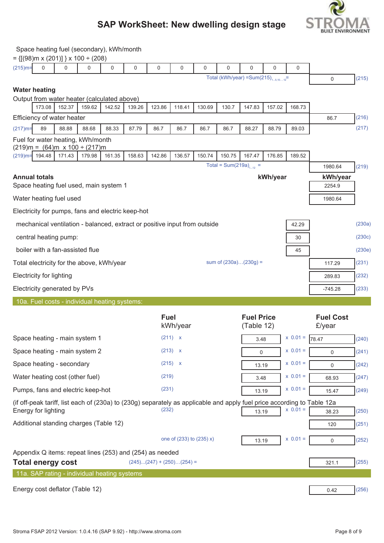

| Space heating fuel (secondary), kWh/month |  |
|-------------------------------------------|--|
|                                           |  |

| $= \{ [(98)m \times (201)] \} \times 100 \div (208)$                                                                                           |                                            |                         |                             |                          |                                               |                 |             |                            |                     |        |
|------------------------------------------------------------------------------------------------------------------------------------------------|--------------------------------------------|-------------------------|-----------------------------|--------------------------|-----------------------------------------------|-----------------|-------------|----------------------------|---------------------|--------|
| $(215)$ m=<br>0<br>$\Omega$<br>0<br>0                                                                                                          | 0                                          | 0                       | 0                           | 0                        | 0                                             | 0               | 0           | 0                          |                     |        |
|                                                                                                                                                | Total (kWh/year) = Sum(215) $_{15,1012}$ = |                         |                             |                          |                                               |                 | $\mathbf 0$ | (215)                      |                     |        |
| <b>Water heating</b>                                                                                                                           |                                            |                         |                             |                          |                                               |                 |             |                            |                     |        |
| Output from water heater (calculated above)<br>142.52<br>173.08<br>152.37<br>159.62                                                            | 139.26                                     | 123.86                  | 118.41                      | 130.69                   | 130.7                                         | 147.83          | 157.02      | 168.73                     |                     |        |
| Efficiency of water heater                                                                                                                     |                                            |                         |                             |                          |                                               |                 |             |                            | 86.7                | (216)  |
| $(217)$ m=<br>89<br>88.88<br>88.68<br>88.33                                                                                                    | 87.79                                      | 86.7                    | 86.7                        | 86.7                     | 86.7                                          | 88.27           | 88.79       | 89.03                      |                     | (217)  |
| Fuel for water heating, kWh/month                                                                                                              |                                            |                         |                             |                          |                                               |                 |             |                            |                     |        |
| $(219)m = (64)m \times 100 \div (217)m$                                                                                                        |                                            |                         |                             |                          |                                               |                 |             |                            |                     |        |
| $(219)$ m= 194.48<br>171.43<br>179.98<br>161.35                                                                                                | 158.63                                     | 142.86                  | 136.57                      | 150.74                   | 150.75<br>Total = Sum(219a) <sub>1-12</sub> = | 167.47          | 176.85      | 189.52                     |                     |        |
|                                                                                                                                                |                                            |                         |                             |                          |                                               |                 |             |                            | 1980.64<br>kWh/year | (219)  |
| <b>Annual totals</b><br>kWh/year<br>Space heating fuel used, main system 1                                                                     |                                            |                         |                             |                          |                                               |                 | 2254.9      |                            |                     |        |
| Water heating fuel used                                                                                                                        |                                            |                         |                             |                          |                                               |                 |             | 1980.64                    |                     |        |
| Electricity for pumps, fans and electric keep-hot                                                                                              |                                            |                         |                             |                          |                                               |                 |             |                            |                     |        |
|                                                                                                                                                |                                            |                         |                             |                          |                                               |                 |             | 42.29                      |                     | (230a) |
| mechanical ventilation - balanced, extract or positive input from outside<br>central heating pump:<br>30                                       |                                            |                         |                             |                          |                                               |                 |             | (230c)                     |                     |        |
|                                                                                                                                                |                                            |                         |                             |                          |                                               |                 |             | (230e)                     |                     |        |
| boiler with a fan-assisted flue<br>45                                                                                                          |                                            |                         |                             |                          |                                               |                 |             | (231)                      |                     |        |
| sum of (230a)(230g) =<br>Total electricity for the above, kWh/year                                                                             |                                            |                         |                             |                          |                                               |                 | 117.29      |                            |                     |        |
| <b>Electricity for lighting</b>                                                                                                                |                                            |                         |                             |                          |                                               |                 | 289.83      | (232)                      |                     |        |
| Electricity generated by PVs                                                                                                                   |                                            |                         |                             |                          |                                               |                 | $-745.28$   | (233)                      |                     |        |
| 10a. Fuel costs - individual heating systems:                                                                                                  |                                            |                         |                             |                          |                                               |                 |             |                            |                     |        |
|                                                                                                                                                |                                            | <b>Fuel</b><br>kWh/year |                             |                          | <b>Fuel Price</b><br>(Table 12)               |                 |             | <b>Fuel Cost</b><br>£/year |                     |        |
| Space heating - main system 1                                                                                                                  |                                            |                         | (211) x                     |                          |                                               | 3.48            |             | $x \ 0.01 =$               | 78.47               | (240)  |
| Space heating - main system 2                                                                                                                  |                                            |                         | (213) x                     |                          |                                               | $x 0.01 =$<br>0 |             |                            | $\Omega$            | (241)  |
| Space heating - secondary                                                                                                                      |                                            |                         | $(215)$ x                   |                          |                                               | 13.19           |             | $x 0.01 =$                 | $\mathbf 0$         | (242)  |
| Water heating cost (other fuel)                                                                                                                |                                            | (219)                   |                             |                          |                                               | 3.48            |             | $x 0.01 =$                 | 68.93               | (247)  |
| Pumps, fans and electric keep-hot                                                                                                              |                                            | (231)                   |                             |                          |                                               | 13.19           |             | $x 0.01 =$                 | 15.47               | (249)  |
| (if off-peak tariff, list each of (230a) to (230g) separately as applicable and apply fuel price according to Table 12a<br>Energy for lighting |                                            | (232)                   |                             |                          |                                               | 13.19           |             | $x 0.01 =$                 | 38.23               | (250)  |
| Additional standing charges (Table 12)                                                                                                         |                                            |                         |                             |                          |                                               |                 |             |                            | 120                 | (251)  |
|                                                                                                                                                |                                            |                         |                             |                          |                                               |                 |             |                            |                     |        |
|                                                                                                                                                |                                            |                         |                             | one of (233) to (235) x) |                                               | 13.19           |             | $x 0.01 =$                 | $\mathbf 0$         | (252)  |
| Appendix Q items: repeat lines (253) and (254) as needed                                                                                       |                                            |                         | $(245)(247) + (250)(254) =$ |                          |                                               |                 |             |                            |                     | (255)  |
| <b>Total energy cost</b><br>11a. SAP rating - individual heating systems                                                                       |                                            |                         |                             |                          |                                               |                 |             |                            | 321.1               |        |
|                                                                                                                                                |                                            |                         |                             |                          |                                               |                 |             |                            |                     |        |
| Energy cost deflator (Table 12)                                                                                                                |                                            |                         |                             |                          |                                               |                 |             |                            | 0.42                | (256)  |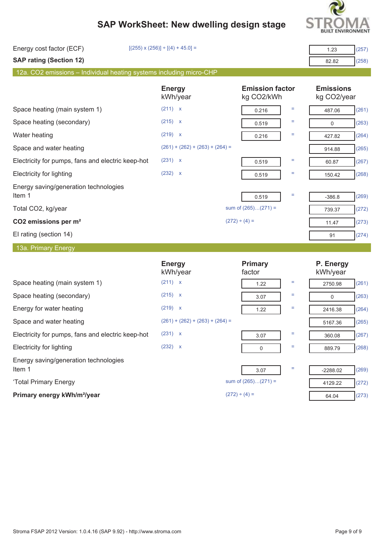

| Energy cost factor (ECF)                                            | $[(255) \times (256)] \div [(4) + 45.0] =$ |                                      | (257)<br>1.23                   |
|---------------------------------------------------------------------|--------------------------------------------|--------------------------------------|---------------------------------|
| <b>SAP rating (Section 12)</b>                                      |                                            |                                      | (258)<br>82.82                  |
| 12a. CO2 emissions - Individual heating systems including micro-CHP |                                            |                                      |                                 |
|                                                                     | <b>Energy</b><br>kWh/year                  | <b>Emission factor</b><br>kg CO2/kWh | <b>Emissions</b><br>kg CO2/year |
| Space heating (main system 1)                                       | (211) x                                    | Ξ<br>0.216                           | (261)<br>487.06                 |
| Space heating (secondary)                                           | (215) x                                    | Ξ<br>0.519                           | (263)<br>$\mathbf 0$            |
| Water heating                                                       | (219) x                                    | Ξ<br>0.216                           | (264)<br>427.82                 |
| Space and water heating                                             | $(261) + (262) + (263) + (264) =$          |                                      | (265)<br>914.88                 |
| Electricity for pumps, fans and electric keep-hot                   | (231) x                                    | Ξ<br>0.519                           | (267)<br>60.87                  |
| <b>Electricity for lighting</b>                                     | (232) x                                    | Ξ<br>0.519                           | (268)<br>150.42                 |
| Energy saving/generation technologies<br>Item 1                     |                                            | Ξ<br>0.519                           | (269)<br>$-386.8$               |
| Total CO2, kg/year                                                  |                                            | sum of (265)(271) =                  | (272)<br>739.37                 |
| CO2 emissions per m <sup>2</sup>                                    |                                            | $(272) \div (4) =$                   | (273)<br>11.47                  |
| El rating (section 14)                                              |                                            |                                      | (274)<br>91                     |
| 13a. Primary Energy                                                 |                                            |                                      |                                 |
|                                                                     | <b>Energy</b><br>kWh/year                  | <b>Primary</b><br>factor             | P. Energy<br>kWh/year           |
| Space heating (main system 1)                                       | (211) x                                    | Ξ<br>1.22                            | (261)<br>2750.98                |
| Space heating (secondary)                                           | (215) x                                    | Ξ<br>3.07                            | (263)<br>$\mathbf 0$            |
| Energy for water heating                                            | (219) x                                    | Ξ<br>1.22                            | (264)<br>2416.38                |
| Space and water heating                                             | $(261) + (262) + (263) + (264) =$          |                                      | (265)<br>5167.36                |
| Electricity for pumps, fans and electric keep-hot                   | (231) x                                    | 3.07                                 | 360.08<br>(267)                 |
| <b>Electricity for lighting</b>                                     | (232) x                                    | $=$<br>0                             | (268)<br>889.79                 |
| Energy saving/generation technologies<br>Item 1                     |                                            | Ξ<br>3.07                            | (269)<br>$-2288.02$             |
| 'Total Primary Energy                                               |                                            | sum of (265)(271) =                  | (272)<br>4129.22                |
| Primary energy kWh/m <sup>2</sup> /year                             |                                            | $(272) \div (4) =$                   | (273)<br>64.04                  |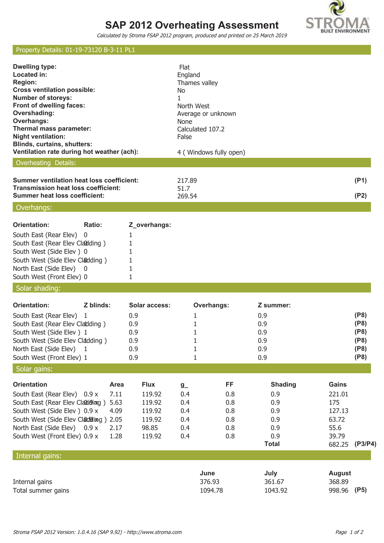# **SAP 2012 Overheating Assessment**



Calculated by Stroma FSAP 2012 program, produced and printed on 25 March 2019

## Property Details: 01-19-73120 B-3-11 PL1

| <b>Dwelling type:</b><br>Located in:<br><b>Region:</b><br><b>Cross ventilation possible:</b><br><b>Number of storeys:</b><br>Front of dwelling faces:<br>Overshading:<br>Overhangs:<br>Thermal mass parameter:<br><b>Night ventilation:</b><br><b>Blinds, curtains, shutters:</b><br>Ventilation rate during hot weather (ach): |                                                                        | Flat<br>England<br>Thames valley<br>No<br>1<br>North West<br>Average or unknown<br>None<br>Calculated 107.2<br>False | 4 (Windows fully open)                       |                                                                          |                                                                      |                                              |
|---------------------------------------------------------------------------------------------------------------------------------------------------------------------------------------------------------------------------------------------------------------------------------------------------------------------------------|------------------------------------------------------------------------|----------------------------------------------------------------------------------------------------------------------|----------------------------------------------|--------------------------------------------------------------------------|----------------------------------------------------------------------|----------------------------------------------|
| Overheating Details:                                                                                                                                                                                                                                                                                                            |                                                                        |                                                                                                                      |                                              |                                                                          |                                                                      |                                              |
| <b>Summer ventilation heat loss coefficient:</b><br><b>Transmission heat loss coefficient:</b><br><b>Summer heat loss coefficient:</b>                                                                                                                                                                                          |                                                                        | 217.89<br>51.7<br>269.54                                                                                             |                                              |                                                                          |                                                                      | (P1)<br>(P2)                                 |
| Overhangs:                                                                                                                                                                                                                                                                                                                      |                                                                        |                                                                                                                      |                                              |                                                                          |                                                                      |                                              |
| <b>Orientation:</b><br>Ratio:<br>South East (Rear Elev)<br>0<br>South East (Rear Elev Cladding)<br>South West (Side Elev) 0<br>South West (Side Elev Cladding)<br>North East (Side Elev) 0<br>South West (Front Elev) 0                                                                                                         | Z_overhangs:<br>1<br>1<br>1<br>1<br>1<br>1                             |                                                                                                                      |                                              |                                                                          |                                                                      |                                              |
| Solar shading:                                                                                                                                                                                                                                                                                                                  |                                                                        |                                                                                                                      |                                              |                                                                          |                                                                      |                                              |
| <b>Orientation:</b><br>Z blinds:<br>South East (Rear Elev) 1<br>South East (Rear Elev Cladding)<br>South West (Side Elev) 1<br>South West (Side Elev Cladding)<br>North East (Side Elev)<br>$\mathbf{1}$<br>South West (Front Elev) 1                                                                                           | Solar access:<br>0.9<br>0.9<br>0.9<br>0.9<br>0.9<br>0.9                | 1<br>1<br>1<br>1<br>1<br>$\mathbf{1}$                                                                                | <b>Overhangs:</b>                            | Z summer:<br>0.9<br>0.9<br>0.9<br>0.9<br>0.9<br>0.9                      |                                                                      | (P8)<br>(P8)<br>(P8)<br>(P8)<br>(P8)<br>(P8) |
| Solar gains:                                                                                                                                                                                                                                                                                                                    |                                                                        |                                                                                                                      |                                              |                                                                          |                                                                      |                                              |
| <b>Orientation</b><br>Area<br>7.11<br>South East (Rear Elev) 0.9 x<br>South East (Rear Elev Claddoing)<br>5.63<br>South West (Side Elev) 0.9 x<br>4.09<br>South West (Side Elev Cladding) 2.05<br>North East (Side Elev) 0.9 x<br>2.17<br>South West (Front Elev) 0.9 x<br>1.28                                                 | <b>Flux</b><br>119.92<br>119.92<br>119.92<br>119.92<br>98.85<br>119.92 | $g_{-}$<br>0.4<br>0.4<br>0.4<br>0.4<br>0.4<br>0.4                                                                    | FF<br>0.8<br>0.8<br>0.8<br>0.8<br>0.8<br>0.8 | <b>Shading</b><br>0.9<br>0.9<br>0.9<br>0.9<br>0.9<br>0.9<br><b>Total</b> | Gains<br>221.01<br>175<br>127.13<br>63.72<br>55.6<br>39.79<br>682.25 | (P3/P4)                                      |
| Internal gains:                                                                                                                                                                                                                                                                                                                 |                                                                        |                                                                                                                      |                                              |                                                                          |                                                                      |                                              |
| Internal gains<br>Total summer gains                                                                                                                                                                                                                                                                                            |                                                                        | June                                                                                                                 | 376.93<br>1094.78                            | July<br>361.67<br>1043.92                                                | <b>August</b><br>368.89<br>998.96                                    | (P5)                                         |